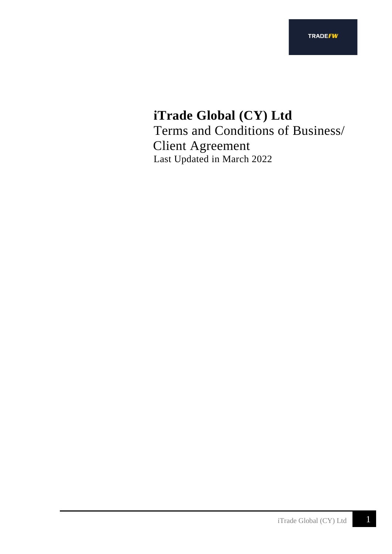# **iTrade Global (CY) Ltd** Terms and Conditions of Business/ Client Agreement Last Updated in March 2022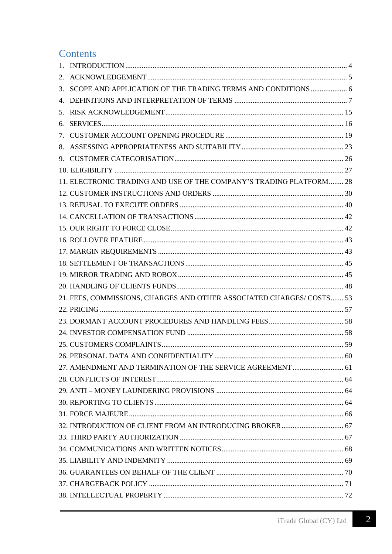# **Contents**

| 2. |                                                                       |  |
|----|-----------------------------------------------------------------------|--|
| 3. | SCOPE AND APPLICATION OF THE TRADING TERMS AND CONDITIONS  6          |  |
|    |                                                                       |  |
|    |                                                                       |  |
| 6. |                                                                       |  |
|    |                                                                       |  |
|    |                                                                       |  |
|    |                                                                       |  |
|    |                                                                       |  |
|    | 11. ELECTRONIC TRADING AND USE OF THE COMPANY'S TRADING PLATFORM 28   |  |
|    |                                                                       |  |
|    |                                                                       |  |
|    |                                                                       |  |
|    |                                                                       |  |
|    |                                                                       |  |
|    |                                                                       |  |
|    |                                                                       |  |
|    |                                                                       |  |
|    |                                                                       |  |
|    | 21. FEES, COMMISSIONS, CHARGES AND OTHER ASSOCIATED CHARGES/ COSTS 53 |  |
|    |                                                                       |  |
|    |                                                                       |  |
|    |                                                                       |  |
|    |                                                                       |  |
|    |                                                                       |  |
|    | 27. AMENDMENT AND TERMINATION OF THE SERVICE AGREEMENT  61            |  |
|    |                                                                       |  |
|    |                                                                       |  |
|    |                                                                       |  |
|    |                                                                       |  |
|    |                                                                       |  |
|    |                                                                       |  |
|    |                                                                       |  |
|    |                                                                       |  |
|    |                                                                       |  |
|    |                                                                       |  |
|    |                                                                       |  |

 $\overline{2}$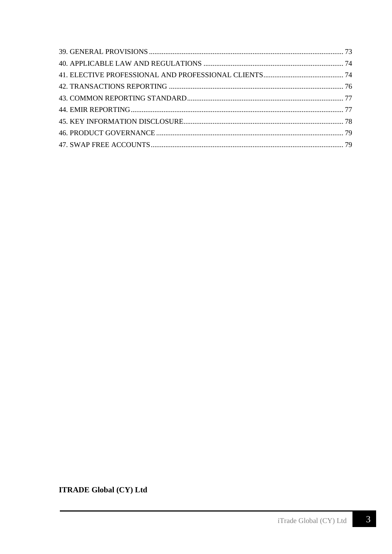**ITRADE Global (CY) Ltd**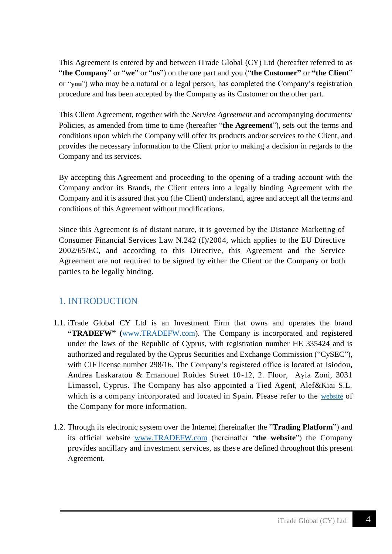This Agreement is entered by and between iTrade Global (CY) Ltd (hereafter referred to as "**the Company**" or "**we**" or "**us**") on the one part and you ("**the Customer"** or **"the Client**" or "**you**") who may be a natural or a legal person, has completed the Company's registration procedure and has been accepted by the Company as its Customer on the other part.

This Client Agreement, together with the *Service Agreement* and accompanying documents/ Policies, as amended from time to time (hereafter "**the Agreement**"), sets out the terms and conditions upon which the Company will offer its products and/or services to the Client, and provides the necessary information to the Client prior to making a decision in regards to the Company and its services.

By accepting this Agreement and proceeding to the opening of a trading account with the Company and/or its Brands, the Client enters into a legally binding Agreement with the Company and it is assured that you (the Client) understand, agree and accept all the terms and conditions of this Agreement without modifications.

Since this Agreement is of distant nature, it is governed by the Distance Marketing of Consumer Financial Services Law N.242 (I)/2004, which applies to the EU Directive 2002/65/EC, and according to this Directive, this Agreement and the Service Agreement are not required to be signed by either the Client or the Company or both parties to be legally binding.

## <span id="page-3-0"></span>1. INTRODUCTION

- 1.1. iTrade Global CY Ltd is an Investment Firm that owns and operates the brand **"TRADEFW" (**www.TRADEFW.com). The Company is incorporated and registered under the laws of the Republic of Cyprus, with registration number HE 335424 and is authorized and regulated by the Cyprus Securities and Exchange Commission ("CySEC"), with CIF license number 298/16. The Company's registered office is located at Isiodou, Andrea Laskaratou & Emanouel Roides Street 10-12, 2. Floor, Ayia Zoni, 3031 Limassol, Cyprus. The Company has also appointed a Tied Agent, Alef&Kiai S.L. which is a company incorporated and located in Spain. Please refer to the [website](https://www.tradefw.com/about-us/) of the Company for more information.
- 1.2. Through its electronic system over the Internet (hereinafter the "**Trading Platform**") and its official website [www.TRADEFW.com](http://www.tradefw.com/) (hereinafter "**the website**") the Company provides ancillary and investment services, as these are defined throughout this present Agreement.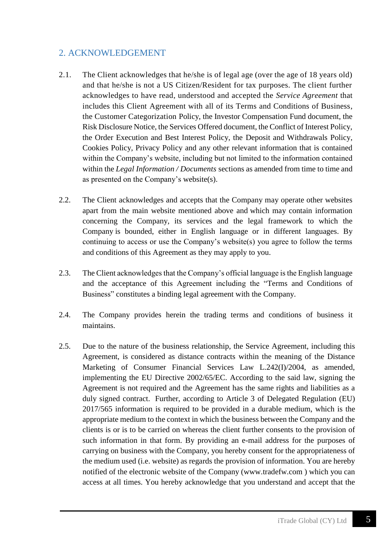## <span id="page-4-0"></span>2. ACKNOWLEDGEMENT

- 2.1. The Client acknowledges that he/she is of legal age (over the age of 18 years old) and that he/she is not a US Citizen/Resident for tax purposes. The client further acknowledges to have read, understood and accepted the *Service Agreement* that includes this Client Agreement with all of its Terms and Conditions of Business, the Customer Categorization Policy, the Investor Compensation Fund document, the Risk Disclosure Notice, the Services Offered document, the Conflict of Interest Policy, the Order Execution and Best Interest Policy, the Deposit and Withdrawals Policy, Cookies Policy, Privacy Policy and any other relevant information that is contained within the Company's website, including but not limited to the information contained within the *Legal Information / Documents* sections as amended from time to time and as presented on the Company's website(s).
- 2.2. The Client acknowledges and accepts that the Company may operate other websites apart from the main website mentioned above and which may contain information concerning the Company, its services and the legal framework to which the Company is bounded, either in English language or in different languages. By continuing to access or use the Company's website(s) you agree to follow the terms and conditions of this Agreement as they may apply to you.
- 2.3. The Client acknowledges that the Company's official language is the English language and the acceptance of this Agreement including the "Terms and Conditions of Business" constitutes a binding legal agreement with the Company.
- 2.4. The Company provides herein the trading terms and conditions of business it maintains.
- 2.5. Due to the nature of the business relationship, the Service Agreement, including this Agreement, is considered as distance contracts within the meaning of the Distance Marketing of Consumer Financial Services Law L.242(I)/2004, as amended, implementing the EU Directive 2002/65/EC. According to the said law, signing the Agreement is not required and the Agreement has the same rights and liabilities as a duly signed contract. Further, according to Article 3 of Delegated Regulation (EU) 2017/565 information is required to be provided in a durable medium, which is the appropriate medium to the context in which the business between the Company and the clients is or is to be carried on whereas the client further consents to the provision of such information in that form. By providing an e-mail address for the purposes of carrying on business with the Company, you hereby consent for the appropriateness of the medium used (i.e. website) as regards the provision of information. You are hereby notified of the electronic website of the Company [\(www.tradefw.com](http://www.tradefw.com/) ) which you can access at all times. You hereby acknowledge that you understand and accept that the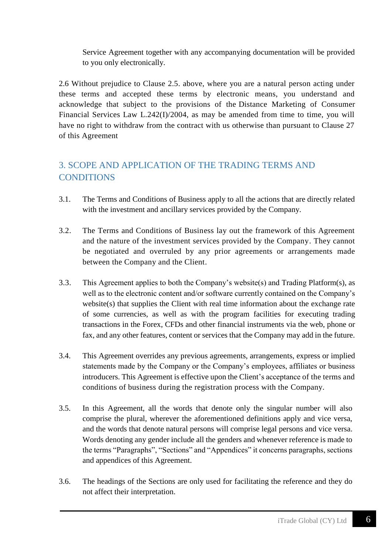Service Agreement together with any accompanying documentation will be provided to you only electronically.

2.6 Without prejudice to Clause 2.5. above, where you are a natural person acting under these terms and accepted these terms by electronic means, you understand and acknowledge that subject to the provisions of the Distance Marketing of Consumer Financial Services Law L.242(I)/2004, as may be amended from time to time, you will have no right to withdraw from the contract with us otherwise than pursuant to Clause 27 of this Agreement

# <span id="page-5-0"></span>3. SCOPE AND APPLICATION OF THE TRADING TERMS AND **CONDITIONS**

- 3.1. The Terms and Conditions of Business apply to all the actions that are directly related with the investment and ancillary services provided by the Company.
- 3.2. The Terms and Conditions of Business lay out the framework of this Agreement and the nature of the investment services provided by the Company. They cannot be negotiated and overruled by any prior agreements or arrangements made between the Company and the Client.
- 3.3. This Agreement applies to both the Company's website(s) and Trading Platform(s), as well as to the electronic content and/or software currently contained on the Company's website(s) that supplies the Client with real time information about the exchange rate of some currencies, as well as with the program facilities for executing trading transactions in the Forex, CFDs and other financial instruments via the web, phone or fax, and any other features, content or services that the Company may add in the future.
- 3.4. This Agreement overrides any previous agreements, arrangements, express or implied statements made by the Company or the Company's employees, affiliates or business introducers. This Agreement is effective upon the Client's acceptance of the terms and conditions of business during the registration process with the Company.
- 3.5. In this Agreement, all the words that denote only the singular number will also comprise the plural, wherever the aforementioned definitions apply and vice versa, and the words that denote natural persons will comprise legal persons and vice versa. Words denoting any gender include all the genders and whenever reference is made to the terms "Paragraphs", "Sections" and "Appendices" it concerns paragraphs, sections and appendices of this Agreement.
- 3.6. The headings of the Sections are only used for facilitating the reference and they do not affect their interpretation.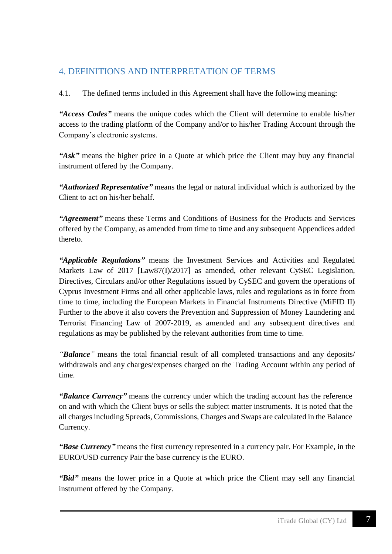# <span id="page-6-0"></span>4. DEFINITIONS AND INTERPRETATION OF TERMS

4.1. The defined terms included in this Agreement shall have the following meaning:

*"Access Codes"* means the unique codes which the Client will determine to enable his/her access to the trading platform of the Company and/or to his/her Trading Account through the Company's electronic systems.

*"Ask"* means the higher price in a Quote at which price the Client may buy any financial instrument offered by the Company.

*"Authorized Representative"* means the legal or natural individual which is authorized by the Client to act on his/her behalf.

*"Agreement"* means these Terms and Conditions of Business for the Products and Services offered by the Company, as amended from time to time and any subsequent Appendices added thereto.

*"Applicable Regulations"* means the Investment Services and Activities and Regulated Markets Law of 2017 [Law87(I)/2017] as amended, other relevant CySEC Legislation, Directives, Circulars and/or other Regulations issued by CySEC and govern the operations of Cyprus Investment Firms and all other applicable laws, rules and regulations as in force from time to time, including the European Markets in Financial Instruments Directive (MiFID II) Further to the above it also covers the Prevention and Suppression of Money Laundering and Terrorist Financing Law of 2007-2019, as amended and any subsequent directives and regulations as may be published by the relevant authorities from time to time.

*"Balance"* means the total financial result of all completed transactions and any deposits/ withdrawals and any charges/expenses charged on the Trading Account within any period of time.

*"Balance Currency"* means the currency under which the trading account has the reference on and with which the Client buys or sells the subject matter instruments. It is noted that the all charges including Spreads, Commissions, Charges and Swaps are calculated in the Balance Currency.

*"Base Currency"* means the first currency represented in a currency pair. For Example, in the EURO/USD currency Pair the base currency is the EURO.

*"Bid"* means the lower price in a Quote at which price the Client may sell any financial instrument offered by the Company.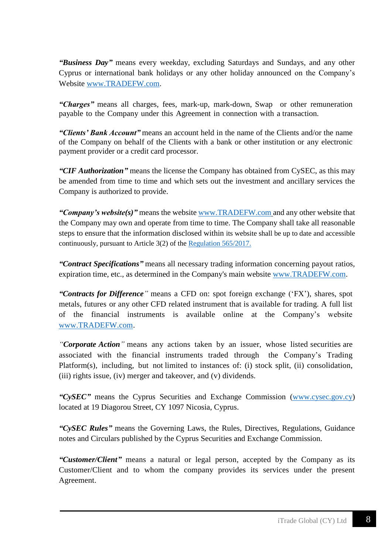*"Business Day"* means every weekday, excluding Saturdays and Sundays, and any other Cyprus or international bank holidays or any other holiday announced on the Company's Website [www.TRADEFW.com.](http://www.tradefw.com/)

*"Charges"* means all charges, fees, mark-up, mark-down, Swap or other remuneration payable to the Company under this Agreement in connection with a transaction.

*"Clients' Bank Account"* means an account held in the name of the Clients and/or the name of the Company on behalf of the Clients with a bank or other institution or any electronic payment provider or a credit card processor.

*"CIF Authorization"* means the license the Company has obtained from CySEC, as this may be amended from time to time and which sets out the investment and ancillary services the Company is authorized to provide.

*"Company's website(s)"* means the website [www.TRADEFW.com](http://www.tradefw.com/) and any other website that the Company may own and operate from time to time. The Company shall take all reasonable steps to ensure that the information disclosed within its website shall be up to date and accessible continuously, pursuant to Article 3(2) of the [Regulation 565/2017.](https://eur-lex.europa.eu/legal-content/EN/TXT/PDF/?uri=CELEX:32017R0565&from=DE)

*"Contract Specifications"* means all necessary trading information concerning payout ratios, expiration time, etc., as determined in the Company's main website [www.TRADEFW.com.](http://www.tradefw.com/)

*"Contracts for Difference"* means a CFD on: spot foreign exchange ('FX'), shares, spot metals, futures or any other CFD related instrument that is available for trading. A full list of the financial instruments is available online at the Company's website [www.TRADEFW.com.](http://www.tradefw.com/)

*"Corporate Action"* means any actions taken by an issuer, whose listed securities are associated with the financial instruments traded through the Company's Trading Platform(s), including, but not limited to instances of: (i) stock split, (ii) consolidation, (iii) rights issue, (iv) merger and takeover, and (v) dividends.

*"CySEC"* means the Cyprus Securities and Exchange Commission [\(www.cysec.gov.cy\)](http://www.cysec.gov.cy/) located at 19 Diagorou Street, CY 1097 Nicosia, Cyprus.

*"CySEC Rules"* means the Governing Laws, the Rules, Directives, Regulations, Guidance notes and Circulars published by the Cyprus Securities and Exchange Commission.

*"Customer/Client"* means a natural or legal person, accepted by the Company as its Customer/Client and to whom the company provides its services under the present Agreement.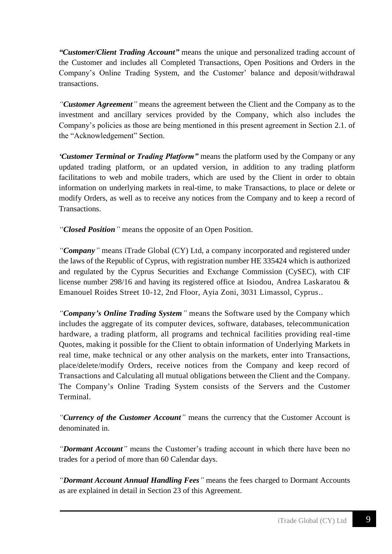*"Customer/Client Trading Account"* means the unique and personalized trading account of the Customer and includes all Completed Transactions, Open Positions and Orders in the Company's Online Trading System, and the Customer' balance and deposit/withdrawal transactions.

*"Customer Agreement"* means the agreement between the Client and the Company as to the investment and ancillary services provided by the Company, which also includes the Company's policies as those are being mentioned in this present agreement in Section 2.1. of the "Acknowledgement" Section.

*'Customer Terminal or Trading Platform"* means the platform used by the Company or any updated trading platform, or an updated version, in addition to any trading platform facilitations to web and mobile traders, which are used by the Client in order to obtain information on underlying markets in real-time, to make Transactions, to place or delete or modify Orders, as well as to receive any notices from the Company and to keep a record of Transactions.

*"Closed Position"* means the opposite of an Open Position.

*"Company"* means iTrade Global (CY) Ltd, a company incorporated and registered under the laws of the Republic of Cyprus, with registration number HE 335424 which is authorized and regulated by the Cyprus Securities and Exchange Commission (CySEC), with CIF license number 298/16 and having its registered office at Isiodou, Andrea Laskaratou & Emanouel Roides Street 10-12, 2nd Floor, Ayia Zoni, 3031 Limassol, Cyprus..

*"Company's Online Trading System"* means the Software used by the Company which includes the aggregate of its computer devices, software, databases, telecommunication hardware, a trading platform, all programs and technical facilities providing real-time Quotes, making it possible for the Client to obtain information of Underlying Markets in real time, make technical or any other analysis on the markets, enter into Transactions, place/delete/modify Orders, receive notices from the Company and keep record of Transactions and Calculating all mutual obligations between the Client and the Company. The Company's Online Trading System consists of the Servers and the Customer Terminal.

*"Currency of the Customer Account"* means the currency that the Customer Account is denominated in.

*"Dormant Account"* means the Customer's trading account in which there have been no trades for a period of more than 60 Calendar days.

*"Dormant Account Annual Handling Fees"* means the fees charged to Dormant Accounts as are explained in detail in Section 23 of this Agreement.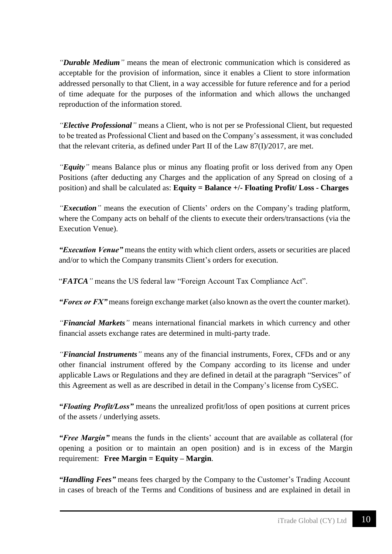*"Durable Medium"* means the mean of electronic communication which is considered as acceptable for the provision of information, since it enables a Client to store information addressed personally to that Client, in a way accessible for future reference and for a period of time adequate for the purposes of the information and which allows the unchanged reproduction of the information stored.

*"Elective Professional"* means a Client, who is not per se Professional Client, but requested to be treated as Professional Client and based on the Company's assessment, it was concluded that the relevant criteria, as defined under Part II of the Law  $87(I)/2017$ , are met.

*"Equity"* means Balance plus or minus any floating profit or loss derived from any Open Positions (after deducting any Charges and the application of any Spread on closing of a position) and shall be calculated as: **Equity = Balance +/- Floating Profit/ Loss - Charges**

*"Execution"* means the execution of Clients' orders on the Company's trading platform, where the Company acts on behalf of the clients to execute their orders/transactions (via the Execution Venue).

*"Execution Venue"* means the entity with which client orders, assets or securities are placed and/or to which the Company transmits Client's orders for execution.

"*FATCA"* means the US federal law "Foreign Account Tax Compliance Act".

*"Forex or FX"* means foreign exchange market (also known as the overt the counter market).

*"Financial Markets"* means international financial markets in which currency and other financial assets exchange rates are determined in multi-party trade.

*"Financial Instruments"* means any of the financial instruments, Forex, CFDs and or any other financial instrument offered by the Company according to its license and under applicable Laws or Regulations and they are defined in detail at the paragraph "Services" of this Agreement as well as are described in detail in the Company's license from CySEC.

*"Floating Profit/Loss"* means the unrealized profit/loss of open positions at current prices of the assets / underlying assets.

*"Free Margin"* means the funds in the clients' account that are available as collateral (for opening a position or to maintain an open position) and is in excess of the Margin requirement: **Free Margin** = **Equity** – **Margin**.

*"Handling Fees"* means fees charged by the Company to the Customer's Trading Account in cases of breach of the Terms and Conditions of business and are explained in detail in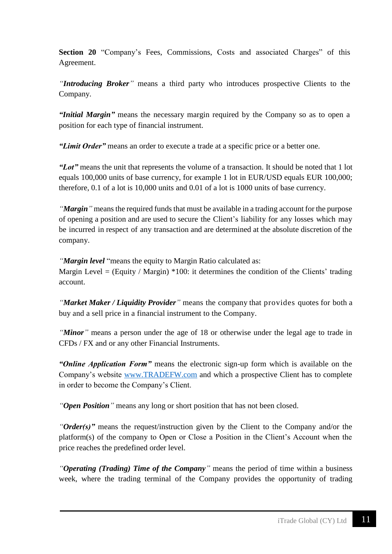**Section 20** "Company's Fees, Commissions, Costs and associated Charges" of this Agreement.

*"Introducing Broker"* means a third party who introduces prospective Clients to the Company.

*"Initial Margin"* means the necessary margin required by the Company so as to open a position for each type of financial instrument.

*"Limit Order"* means an order to execute a trade at a specific price or a better one.

*"Lot"* means the unit that represents the volume of a transaction. It should be noted that 1 lot equals 100,000 units of base currency, for example 1 lot in EUR/USD equals EUR 100,000; therefore, 0.1 of a lot is 10,000 units and 0.01 of a lot is 1000 units of base currency.

*"Margin*" means the required funds that must be available in a trading account for the purpose of opening a position and are used to secure the Client's liability for any losses which may be incurred in respect of any transaction and are determined at the absolute discretion of the company.

*"Margin level* "means the equity to Margin Ratio calculated as:

Margin Level = (Equity / Margin)  $*100$ : it determines the condition of the Clients' trading account.

*"Market Maker / Liquidity Provider"* means the company that provides quotes for both a buy and a sell price in a financial instrument to the Company.

*"Minor"* means a person under the age of 18 or otherwise under the legal age to trade in CFDs / FX and or any other Financial Instruments.

*"Online Application Form"* means the electronic sign-up form which is available on the Company's website [www.TRADEFW.com](http://www.tradefw.com/) and which a prospective Client has to complete in order to become the Company's Client.

*"Open Position"* means any long or short position that has not been closed.

*"Order(s)"* means the request/instruction given by the Client to the Company and/or the platform(s) of the company to Open or Close a Position in the Client's Account when the price reaches the predefined order level.

*"Operating (Trading) Time of the Company"* means the period of time within a business week, where the trading terminal of the Company provides the opportunity of trading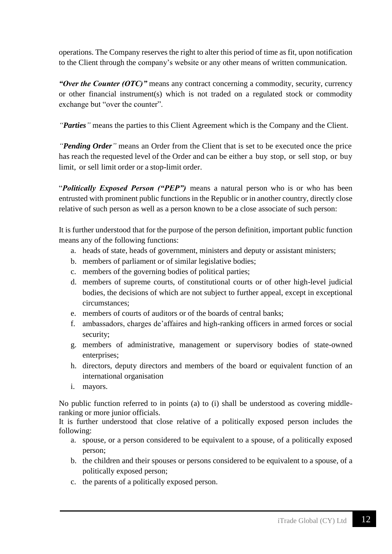operations. The Company reserves the right to alter this period of time as fit, upon notification to the Client through the company's website or any other means of written communication.

*"Over the Counter (OTC)"* means any contract concerning a commodity, security, currency or other financial instrument(s) which is not traded on a regulated stock or commodity exchange but "over the counter".

*"Parties"* means the parties to this Client Agreement which is the Company and the Client.

*"Pending Order"* means an Order from the Client that is set to be executed once the price has reach the requested level of the Order and can be either a buy stop, or sell stop, or buy limit, or sell limit order or a stop-limit order.

"*Politically Exposed Person ("PEP")* means a natural person who is or who has been entrusted with prominent public functions in the Republic or in another country, directly close relative of such person as well as a person known to be a close associate of such person:

It is further understood that for the purpose of the person definition, important public function means any of the following functions:

- a. heads of state, heads of government, ministers and deputy or assistant ministers;
- b. members of parliament or of similar legislative bodies;
- c. members of the governing bodies of political parties;
- d. members of supreme courts, of constitutional courts or of other high-level judicial bodies, the decisions of which are not subject to further appeal, except in exceptional circumstances;
- e. members of courts of auditors or of the boards of central banks;
- f. ambassadors, charges de'affaires and high-ranking officers in armed forces or social security;
- g. members of administrative, management or supervisory bodies of state-owned enterprises;
- h. directors, deputy directors and members of the board or equivalent function of an international organisation
- i. mayors.

No public function referred to in points (a) to (i) shall be understood as covering middleranking or more junior officials.

It is further understood that close relative of a politically exposed person includes the following:

- a. spouse, or a person considered to be equivalent to a spouse, of a politically exposed person;
- b. the children and their spouses or persons considered to be equivalent to a spouse, of a politically exposed person;
- c. the parents of a politically exposed person.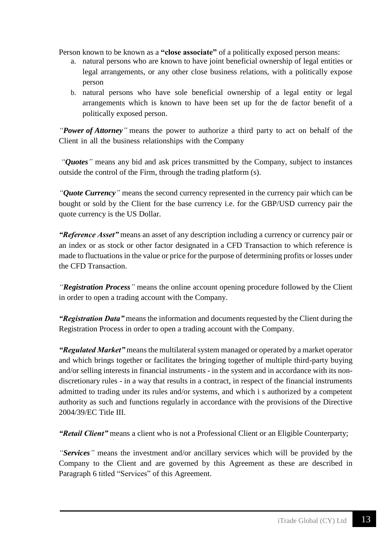Person known to be known as a **"close associate"** of a politically exposed person means:

- a. natural persons who are known to have joint beneficial ownership of legal entities or legal arrangements, or any other close business relations, with a politically expose person
- b. natural persons who have sole beneficial ownership of a legal entity or legal arrangements which is known to have been set up for the de factor benefit of a politically exposed person.

*"Power of Attorney"* means the power to authorize a third party to act on behalf of the Client in all the business relationships with the Company

*"Quotes"* means any bid and ask prices transmitted by the Company, subject to instances outside the control of the Firm, through the trading platform (s).

*"Quote Currency"* means the second currency represented in the currency pair which can be bought or sold by the Client for the base currency i.e. for the GBP/USD currency pair the quote currency is the US Dollar.

*"Reference Asset"* means an asset of any description including a currency or currency pair or an index or as stock or other factor designated in a CFD Transaction to which reference is made to fluctuations in the value or price for the purpose of determining profits or losses under the CFD Transaction.

*"Registration Process"* means the online account opening procedure followed by the Client in order to open a trading account with the Company.

*"Registration Data"* means the information and documents requested by the Client during the Registration Process in order to open a trading account with the Company.

*"Regulated Market"* means the multilateral system managed or operated by a market operator and which brings together or facilitates the bringing together of multiple third-party buying and/or selling interests in financial instruments - in the system and in accordance with its nondiscretionary rules - in a way that results in a contract, in respect of the financial instruments admitted to trading under its rules and/or systems, and which i s authorized by a competent authority as such and functions regularly in accordance with the provisions of the Directive 2004/39/EC Title III.

*"Retail Client"* means a client who is not a Professional Client or an Eligible Counterparty;

*"Services"* means the investment and/or ancillary services which will be provided by the Company to the Client and are governed by this Agreement as these are described in Paragraph 6 titled "Services" of this Agreement.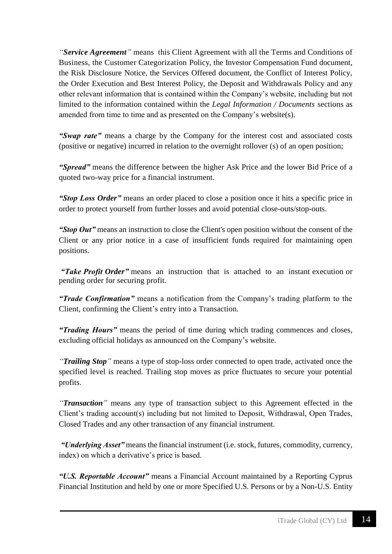*"Service Agreement"* means this Client Agreement with all the Terms and Conditions of Business, the Customer Categorization Policy, the Investor Compensation Fund document, the Risk Disclosure Notice, the Services Offered document, the Conflict of Interest Policy, the Order Execution and Best Interest Policy, the Deposit and Withdrawals Policy and any other relevant information that is contained within the Company's website, including but not limited to the information contained within the *Legal Information / Documents* sections as amended from time to time and as presented on the Company's website(s).

*"Swap rate"* means a charge by the Company for the interest cost and associated costs (positive or negative) incurred in relation to the overnight rollover (s) of an open position;

*"Spread"* means the difference between the higher Ask Price and the lower Bid Price of a quoted two-way price for a financial instrument.

*"Stop Loss Order"* means an order placed to close a position once it hits a specific price in order to protect yourself from further losses and avoid potential close-outs/stop-outs.

*"Stop Out"* means an instruction to close the Client's open position without the consent of the Client or any prior notice in a case of insufficient funds required for maintaining open positions.

*"Take Profit Order"* means an instruction that is attached to an instant execution or pending order for securing profit.

*"Trade Confirmation"* means a notification from the Company's trading platform to the Client, confirming the Client's entry into a Transaction.

*"Trading Hours"* means the period of time during which trading commences and closes, excluding official holidays as announced on the Company's website.

*"Trailing Stop"* means a type of stop-loss order connected to open trade, activated once the specified level is reached. Trailing stop moves as price fluctuates to secure your potential profits.

*"Transaction"* means any type of transaction subject to this Agreement effected in the Client's trading account(s) including but not limited to Deposit, Withdrawal, Open Trades, Closed Trades and any other transaction of any financial instrument.

*"Underlying Asset"* means the financial instrument (i.e. stock, futures, commodity, currency, index) on which a derivative's price is based.

*"U.S. Reportable Account"* means a Financial Account maintained by a Reporting Cyprus Financial Institution and held by one or more Specified U.S. Persons or by a Non-U.S. Entity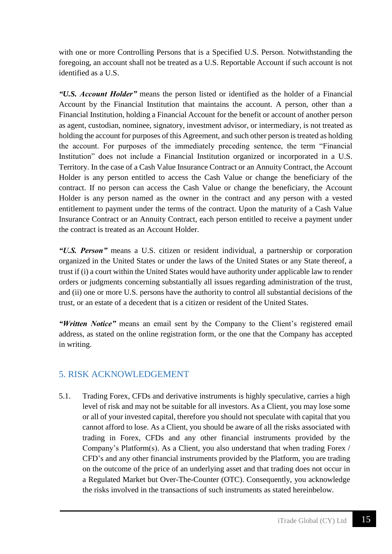with one or more Controlling Persons that is a Specified U.S. Person. Notwithstanding the foregoing, an account shall not be treated as a U.S. Reportable Account if such account is not identified as a U.S.

*"U.S. Account Holder"* means the person listed or identified as the holder of a Financial Account by the Financial Institution that maintains the account. A person, other than a Financial Institution, holding a Financial Account for the benefit or account of another person as agent, custodian, nominee, signatory, investment advisor, or intermediary, is not treated as holding the account for purposes of this Agreement, and such other person is treated as holding the account. For purposes of the immediately preceding sentence, the term "Financial Institution" does not include a Financial Institution organized or incorporated in a U.S. Territory. In the case of a Cash Value Insurance Contract or an Annuity Contract, the Account Holder is any person entitled to access the Cash Value or change the beneficiary of the contract. If no person can access the Cash Value or change the beneficiary, the Account Holder is any person named as the owner in the contract and any person with a vested entitlement to payment under the terms of the contract. Upon the maturity of a Cash Value Insurance Contract or an Annuity Contract, each person entitled to receive a payment under the contract is treated as an Account Holder.

*"U.S. Person"* means a U.S. citizen or resident individual, a partnership or corporation organized in the United States or under the laws of the United States or any State thereof, a trust if (i) a court within the United States would have authority under applicable law to render orders or judgments concerning substantially all issues regarding administration of the trust, and (ii) one or more U.S. persons have the authority to control all substantial decisions of the trust, or an estate of a decedent that is a citizen or resident of the United States.

*"Written Notice"* means an email sent by the Company to the Client's registered email address, as stated on the online registration form, or the one that the Company has accepted in writing.

#### <span id="page-14-0"></span>5. RISK ACKNOWLEDGEMENT

5.1. Trading Forex, CFDs and derivative instruments is highly speculative, carries a high level of risk and may not be suitable for all investors. As a Client, you may lose some or all of your invested capital, therefore you should not speculate with capital that you cannot afford to lose. As a Client, you should be aware of all the risks associated with trading in Forex, CFDs and any other financial instruments provided by the Company's Platform(s). As a Client, you also understand that when trading Forex / CFD's and any other financial instruments provided by the Platform, you are trading on the outcome of the price of an underlying asset and that trading does not occur in a Regulated Market but Over-The-Counter (OTC). Consequently, you acknowledge the risks involved in the transactions of such instruments as stated hereinbelow.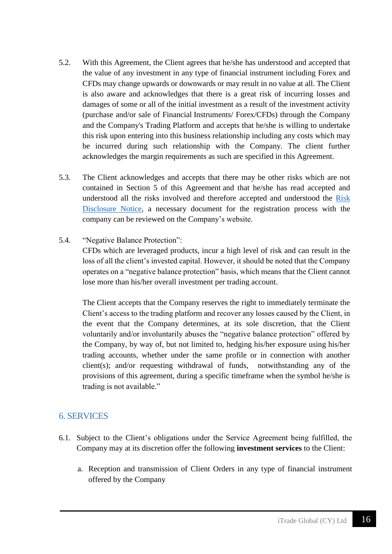- 5.2. With this Agreement, the Client agrees that he/she has understood and accepted that the value of any investment in any type of financial instrument including Forex and CFDs may change upwards or downwards or may result in no value at all. The Client is also aware and acknowledges that there is a great risk of incurring losses and damages of some or all of the initial investment as a result of the investment activity (purchase and/or sale of Financial Instruments/ Forex/CFDs) through the Company and the Company's Trading Platform and accepts that he/she is willing to undertake this risk upon entering into this business relationship including any costs which may be incurred during such relationship with the Company. The client further acknowledges the margin requirements as such are specified in this Agreement.
- 5.3. The Client acknowledges and accepts that there may be other risks which are not contained in Section 5 of this Agreement and that he/she has read accepted and understood all the risks involved and therefore accepted and understood the [Risk](https://www.tradefw.com/wp-content/uploads/iTrade_Global_Risk_Disclosure_Notice.pdf)  [Disclosure Notice,](https://www.tradefw.com/wp-content/uploads/iTrade_Global_Risk_Disclosure_Notice.pdf) a necessary document for the registration process with the company can be reviewed on the Company's website.
- 5.4. "Negative Balance Protection":

CFDs which are leveraged products, incur a high level of risk and can result in the loss of all the client's invested capital. However, it should be noted that the Company operates on a "negative balance protection" basis, which means that the Client cannot lose more than his/her overall investment per trading account.

The Client accepts that the Company reserves the right to immediately terminate the Client's access to the trading platform and recover any losses caused by the Client, in the event that the Company determines, at its sole discretion, that the Client voluntarily and/or involuntarily abuses the "negative balance protection" offered by the Company, by way of, but not limited to, hedging his/her exposure using his/her trading accounts, whether under the same profile or in connection with another client(s); and/or requesting withdrawal of funds, notwithstanding any of the provisions of this agreement, during a specific timeframe when the symbol he/she is trading is not available."

#### <span id="page-15-0"></span>6. SERVICES

- 6.1. Subject to the Client's obligations under the Service Agreement being fulfilled, the Company may at its discretion offer the following **investment services** to the Client:
	- a. Reception and transmission of Client Orders in any type of financial instrument offered by the Company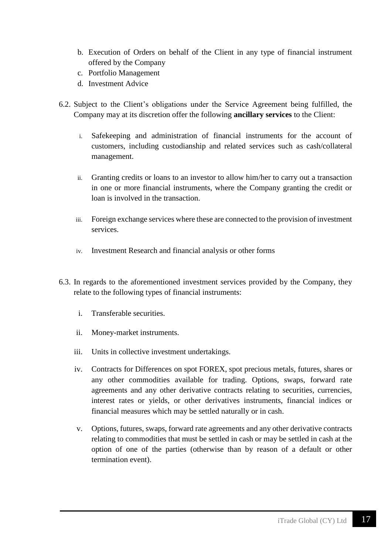- b. Execution of Orders on behalf of the Client in any type of financial instrument offered by the Company
- c. Portfolio Management
- d. Investment Advice
- 6.2. Subject to the Client's obligations under the Service Agreement being fulfilled, the Company may at its discretion offer the following **ancillary services** to the Client:
	- i. Safekeeping and administration of financial instruments for the account of customers, including custodianship and related services such as cash/collateral management.
	- ii. Granting credits or loans to an investor to allow him/her to carry out a transaction in one or more financial instruments, where the Company granting the credit or loan is involved in the transaction.
	- iii. Foreign exchange services where these are connected to the provision of investment services.
	- iv. Investment Research and financial analysis or other forms
- 6.3. In regards to the aforementioned investment services provided by the Company, they relate to the following types of financial instruments:
	- i. Transferable securities.
	- ii. Money-market instruments.
	- iii. Units in collective investment undertakings.
	- iv. Contracts for Differences on spot FOREX, spot precious metals, futures, shares or any other commodities available for trading. Options, swaps, forward rate agreements and any other derivative contracts relating to securities, currencies, interest rates or yields, or other derivatives instruments, financial indices or financial measures which may be settled naturally or in cash.
	- v. Options, futures, swaps, forward rate agreements and any other derivative contracts relating to commodities that must be settled in cash or may be settled in cash at the option of one of the parties (otherwise than by reason of a default or other termination event).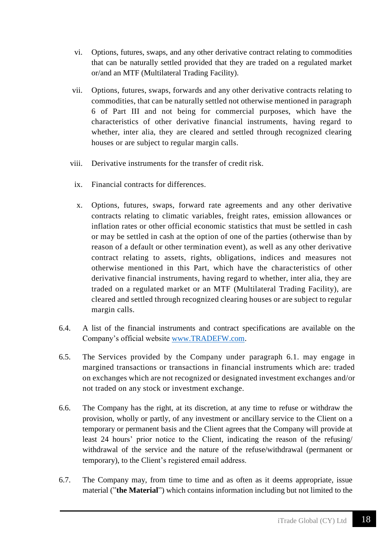- vi. Options, futures, swaps, and any other derivative contract relating to commodities that can be naturally settled provided that they are traded on a regulated market or/and an MTF (Multilateral Trading Facility).
- vii. Options, futures, swaps, forwards and any other derivative contracts relating to commodities, that can be naturally settled not otherwise mentioned in paragraph 6 of Part III and not being for commercial purposes, which have the characteristics of other derivative financial instruments, having regard to whether, inter alia, they are cleared and settled through recognized clearing houses or are subject to regular margin calls.
- viii. Derivative instruments for the transfer of credit risk.
	- ix. Financial contracts for differences.
	- x. Options, futures, swaps, forward rate agreements and any other derivative contracts relating to climatic variables, freight rates, emission allowances or inflation rates or other official economic statistics that must be settled in cash or may be settled in cash at the option of one of the parties (otherwise than by reason of a default or other termination event), as well as any other derivative contract relating to assets, rights, obligations, indices and measures not otherwise mentioned in this Part, which have the characteristics of other derivative financial instruments, having regard to whether, inter alia, they are traded on a regulated market or an MTF (Multilateral Trading Facility), are cleared and settled through recognized clearing houses or are subject to regular margin calls.
- 6.4. A list of the financial instruments and contract specifications are available on the Company's official website [www.TRADEFW.com.](http://www.tradefw.com/)
- 6.5. The Services provided by the Company under paragraph 6.1. may engage in margined transactions or transactions in financial instruments which are: traded on exchanges which are not recognized or designated investment exchanges and/or not traded on any stock or investment exchange.
- 6.6. The Company has the right, at its discretion, at any time to refuse or withdraw the provision, wholly or partly, of any investment or ancillary service to the Client on a temporary or permanent basis and the Client agrees that the Company will provide at least 24 hours' prior notice to the Client, indicating the reason of the refusing/ withdrawal of the service and the nature of the refuse/withdrawal (permanent or temporary), to the Client's registered email address.
- 6.7. The Company may, from time to time and as often as it deems appropriate, issue material ("**the Material**") which contains information including but not limited to the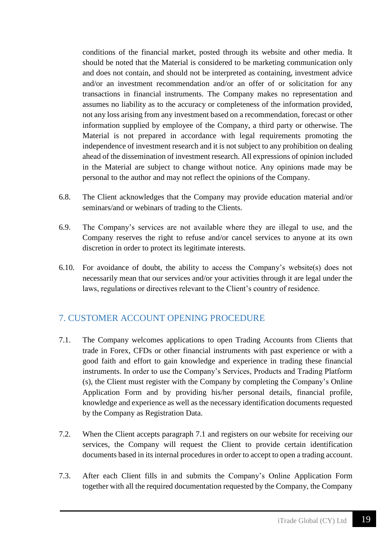conditions of the financial market, posted through its website and other media. It should be noted that the Material is considered to be marketing communication only and does not contain, and should not be interpreted as containing, investment advice and/or an investment recommendation and/or an offer of or solicitation for any transactions in financial instruments. The Company makes no representation and assumes no liability as to the accuracy or completeness of the information provided, not any loss arising from any investment based on a recommendation, forecast or other information supplied by employee of the Company, a third party or otherwise. The Material is not prepared in accordance with legal requirements promoting the independence of investment research and it is not subject to any prohibition on dealing ahead of the dissemination of investment research. All expressions of opinion included in the Material are subject to change without notice. Any opinions made may be personal to the author and may not reflect the opinions of the Company.

- 6.8. The Client acknowledges that the Company may provide education material and/or seminars/and or webinars of trading to the Clients.
- 6.9. The Company's services are not available where they are illegal to use, and the Company reserves the right to refuse and/or cancel services to anyone at its own discretion in order to protect its legitimate interests.
- 6.10. For avoidance of doubt, the ability to access the Company's website(s) does not necessarily mean that our services and/or your activities through it are legal under the laws, regulations or directives relevant to the Client's country of residence.

## <span id="page-18-0"></span>7. CUSTOMER ACCOUNT OPENING PROCEDURE

- 7.1. The Company welcomes applications to open Trading Accounts from Clients that trade in Forex, CFDs or other financial instruments with past experience or with a good faith and effort to gain knowledge and experience in trading these financial instruments. In order to use the Company's Services, Products and Trading Platform (s), the Client must register with the Company by completing the Company's Online Application Form and by providing his/her personal details, financial profile, knowledge and experience as well as the necessary identification documents requested by the Company as Registration Data.
- 7.2. When the Client accepts paragraph 7.1 and registers on our website for receiving our services, the Company will request the Client to provide certain identification documents based in its internal procedures in order to accept to open a trading account.
- 7.3. After each Client fills in and submits the Company's Online Application Form together with all the required documentation requested by the Company, the Company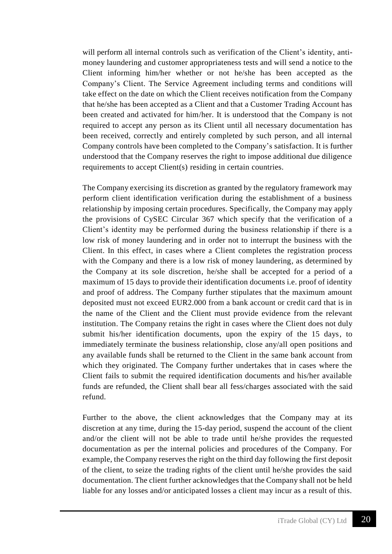will perform all internal controls such as verification of the Client's identity, antimoney laundering and customer appropriateness tests and will send a notice to the Client informing him/her whether or not he/she has been accepted as the Company's Client. The Service Agreement including terms and conditions will take effect on the date on which the Client receives notification from the Company that he/she has been accepted as a Client and that a Customer Trading Account has been created and activated for him/her. It is understood that the Company is not required to accept any person as its Client until all necessary documentation has been received, correctly and entirely completed by such person, and all internal Company controls have been completed to the Company's satisfaction. It is further understood that the Company reserves the right to impose additional due diligence requirements to accept Client(s) residing in certain countries.

The Company exercising its discretion as granted by the regulatory framework may perform client identification verification during the establishment of a business relationship by imposing certain procedures. Specifically, the Company may apply the provisions of CySEC Circular 367 which specify that the verification of a Client's identity may be performed during the business relationship if there is a low risk of money laundering and in order not to interrupt the business with the Client. In this effect, in cases where a Client completes the registration process with the Company and there is a low risk of money laundering, as determined by the Company at its sole discretion, he/she shall be accepted for a period of a maximum of 15 days to provide their identification documents i.e. proof of identity and proof of address. The Company further stipulates that the maximum amount deposited must not exceed EUR2.000 from a bank account or credit card that is in the name of the Client and the Client must provide evidence from the relevant institution. The Company retains the right in cases where the Client does not duly submit his/her identification documents, upon the expiry of the 15 days, to immediately terminate the business relationship, close any/all open positions and any available funds shall be returned to the Client in the same bank account from which they originated. The Company further undertakes that in cases where the Client fails to submit the required identification documents and his/her available funds are refunded, the Client shall bear all fess/charges associated with the said refund.

Further to the above, the client acknowledges that the Company may at its discretion at any time, during the 15-day period, suspend the account of the client and/or the client will not be able to trade until he/she provides the requested documentation as per the internal policies and procedures of the Company. For example, the Company reserves the right on the third day following the first deposit of the client, to seize the trading rights of the client until he/she provides the said documentation. The client further acknowledges that the Company shall not be held liable for any losses and/or anticipated losses a client may incur as a result of this.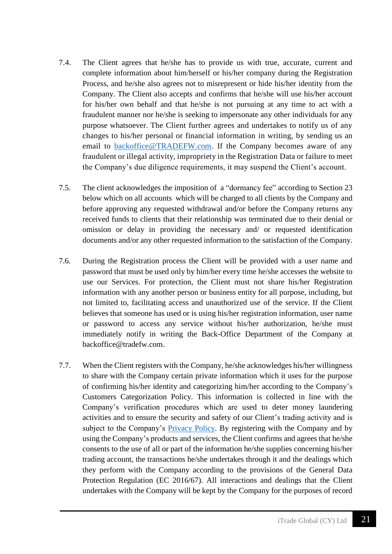- 7.4. The Client agrees that he/she has to provide us with true, accurate, current and complete information about him/herself or his/her company during the Registration Process, and he/she also agrees not to misrepresent or hide his/her identity from the Company. The Client also accepts and confirms that he/she will use his/her account for his/her own behalf and that he/she is not pursuing at any time to act with a fraudulent manner nor he/she is seeking to impersonate any other individuals for any purpose whatsoever. The Client further agrees and undertakes to notify us of any changes to his/her personal or financial information in writing, by sending us an email to [backoffice@TRADEFW.com.](mailto:backoffice@TRADEFW.com) If the Company becomes aware of any fraudulent or illegal activity, impropriety in the Registration Data or failure to meet the Company's due diligence requirements, it may suspend the Client's account.
- 7.5. The client acknowledges the imposition of a "dormancy fee" according to Section 23 below which on all accounts which will be charged to all clients by the Company and before approving any requested withdrawal and/or before the Company returns any received funds to clients that their relationship was terminated due to their denial or omission or delay in providing the necessary and/ or requested identification documents and/or any other requested information to the satisfaction of the Company.
- 7.6. During the Registration process the Client will be provided with a user name and password that must be used only by him/her every time he/she accesses the website to use our Services. For protection, the Client must not share his/her Registration information with any another person or business entity for all purpose, including, but not limited to, facilitating access and unauthorized use of the service. If the Client believes that someone has used or is using his/her registration information, user name or password to access any service without his/her authorization, he/she must immediately notify in writing the Back-Office Department of the Company at backoffice@tradefw.com.
- 7.7. When the Client registers with the Company, he/she acknowledges his/her willingness to share with the Company certain private information which it uses for the purpose of confirming his/her identity and categorizing him/her according to the Company's Customers Categorization Policy. This information is collected in line with the Company's verification procedures which are used to deter money laundering activities and to ensure the security and safety of our Client's trading activity and is subject to the Company's [Privacy Policy.](https://www.tradefw.com/wp-content/uploads/iTrade-Global__Privacy_Policy.pdf) By registering with the Company and by using the Company's products and services, the Client confirms and agrees that he/she consents to the use of all or part of the information he/she supplies concerning his/her trading account, the transactions he/she undertakes through it and the dealings which they perform with the Company according to the provisions of the General Data Protection Regulation (EC 2016/67). All interactions and dealings that the Client undertakes with the Company will be kept by the Company for the purposes of record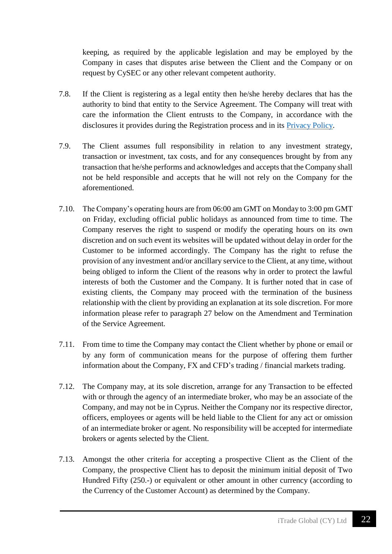keeping, as required by the applicable legislation and may be employed by the Company in cases that disputes arise between the Client and the Company or on request by CySEC or any other relevant competent authority.

- 7.8. If the Client is registering as a legal entity then he/she hereby declares that has the authority to bind that entity to the Service Agreement. The Company will treat with care the information the Client entrusts to the Company, in accordance with the disclosures it provides during the Registration process and in its [Privacy Policy.](https://www.tradefw.com/wp-content/uploads/iTrade-Global__Privacy_Policy.pdf)
- 7.9. The Client assumes full responsibility in relation to any investment strategy, transaction or investment, tax costs, and for any consequences brought by from any transaction that he/she performs and acknowledges and accepts that the Company shall not be held responsible and accepts that he will not rely on the Company for the aforementioned.
- 7.10. The Company's operating hours are from 06:00 am GMT on Monday to 3:00 pm GMT on Friday, excluding official public holidays as announced from time to time. The Company reserves the right to suspend or modify the operating hours on its own discretion and on such event its websites will be updated without delay in order for the Customer to be informed accordingly. The Company has the right to refuse the provision of any investment and/or ancillary service to the Client, at any time, without being obliged to inform the Client of the reasons why in order to protect the lawful interests of both the Customer and the Company. It is further noted that in case of existing clients, the Company may proceed with the termination of the business relationship with the client by providing an explanation at its sole discretion. For more information please refer to paragraph 27 below on the Amendment and Termination of the Service Agreement.
- 7.11. From time to time the Company may contact the Client whether by phone or email or by any form of communication means for the purpose of offering them further information about the Company, FX and CFD's trading / financial markets trading.
- 7.12. The Company may, at its sole discretion, arrange for any Transaction to be effected with or through the agency of an intermediate broker, who may be an associate of the Company, and may not be in Cyprus. Neither the Company nor its respective director, officers, employees or agents will be held liable to the Client for any act or omission of an intermediate broker or agent. No responsibility will be accepted for intermediate brokers or agents selected by the Client.
- 7.13. Amongst the other criteria for accepting a prospective Client as the Client of the Company, the prospective Client has to deposit the minimum initial deposit of Two Hundred Fifty (250.-) or equivalent or other amount in other currency (according to the Currency of the Customer Account) as determined by the Company.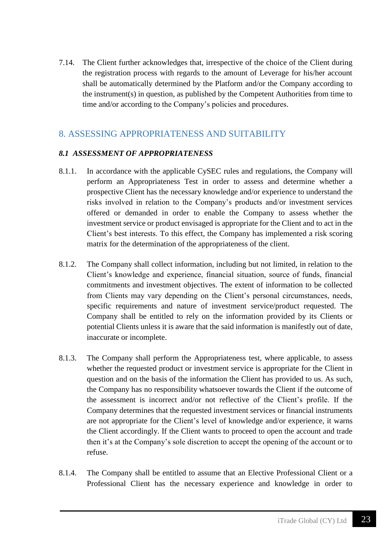7.14. The Client further acknowledges that, irrespective of the choice of the Client during the registration process with regards to the amount of Leverage for his/her account shall be automatically determined by the Platform and/or the Company according to the instrument(s) in question, as published by the Competent Authorities from time to time and/or according to the Company's policies and procedures.

## <span id="page-22-0"></span>8. ASSESSING APPROPRIATENESS AND SUITABILITY

#### *8.1 ASSESSMENT OF APPROPRIATENESS*

- 8.1.1. In accordance with the applicable CySEC rules and regulations, the Company will perform an Appropriateness Test in order to assess and determine whether a prospective Client has the necessary knowledge and/or experience to understand the risks involved in relation to the Company's products and/or investment services offered or demanded in order to enable the Company to assess whether the investment service or product envisaged is appropriate for the Client and to act in the Client's best interests. To this effect, the Company has implemented a risk scoring matrix for the determination of the appropriateness of the client.
- 8.1.2. The Company shall collect information, including but not limited, in relation to the Client's knowledge and experience, financial situation, source of funds, financial commitments and investment objectives. The extent of information to be collected from Clients may vary depending on the Client's personal circumstances, needs, specific requirements and nature of investment service/product requested. The Company shall be entitled to rely on the information provided by its Clients or potential Clients unless it is aware that the said information is manifestly out of date, inaccurate or incomplete.
- 8.1.3. The Company shall perform the Appropriateness test, where applicable, to assess whether the requested product or investment service is appropriate for the Client in question and on the basis of the information the Client has provided to us. As such, the Company has no responsibility whatsoever towards the Client if the outcome of the assessment is incorrect and/or not reflective of the Client's profile. If the Company determines that the requested investment services or financial instruments are not appropriate for the Client's level of knowledge and/or experience, it warns the Client accordingly. If the Client wants to proceed to open the account and trade then it's at the Company's sole discretion to accept the opening of the account or to refuse.
- 8.1.4. The Company shall be entitled to assume that an Elective Professional Client or a Professional Client has the necessary experience and knowledge in order to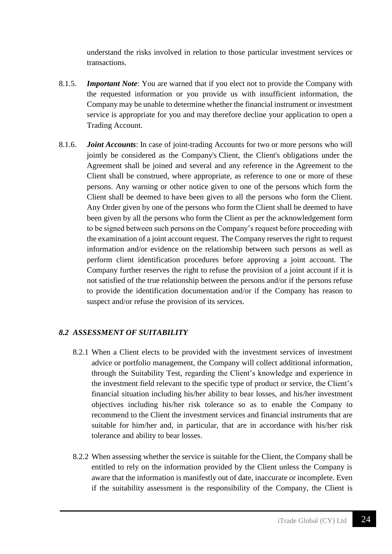understand the risks involved in relation to those particular investment services or transactions.

- 8.1.5. *Important Note*: You are warned that if you elect not to provide the Company with the requested information or you provide us with insufficient information, the Company may be unable to determine whether the financial instrument or investment service is appropriate for you and may therefore decline your application to open a Trading Account.
- 8.1.6. *Joint Accounts*: In case of joint-trading Accounts for two or more persons who will jointly be considered as the Company's Client, the Client's obligations under the Agreement shall be joined and several and any reference in the Agreement to the Client shall be construed, where appropriate, as reference to one or more of these persons. Any warning or other notice given to one of the persons which form the Client shall be deemed to have been given to all the persons who form the Client. Any Order given by one of the persons who form the Client shall be deemed to have been given by all the persons who form the Client as per the acknowledgement form to be signed between such persons on the Company's request before proceeding with the examination of a joint account request. The Company reserves the right to request information and/or evidence on the relationship between such persons as well as perform client identification procedures before approving a joint account. The Company further reserves the right to refuse the provision of a joint account if it is not satisfied of the true relationship between the persons and/or if the persons refuse to provide the identification documentation and/or if the Company has reason to suspect and/or refuse the provision of its services.

#### *8.2 ASSESSMENT OF SUITABILITY*

- 8.2.1 When a Client elects to be provided with the investment services of investment advice or portfolio management, the Company will collect additional information, through the Suitability Test, regarding the Client's knowledge and experience in the investment field relevant to the specific type of product or service, the Client's financial situation including his/her ability to bear losses, and his/her investment objectives including his/her risk tolerance so as to enable the Company to recommend to the Client the investment services and financial instruments that are suitable for him/her and, in particular, that are in accordance with his/her risk tolerance and ability to bear losses.
- 8.2.2 When assessing whether the service is suitable for the Client, the Company shall be entitled to rely on the information provided by the Client unless the Company is aware that the information is manifestly out of date, inaccurate or incomplete. Even if the suitability assessment is the responsibility of the Company, the Client is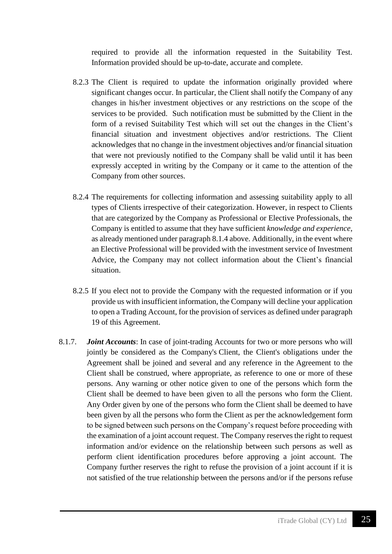required to provide all the information requested in the Suitability Test. Information provided should be up-to-date, accurate and complete.

- 8.2.3 The Client is required to update the information originally provided where significant changes occur. In particular, the Client shall notify the Company of any changes in his/her investment objectives or any restrictions on the scope of the services to be provided. Such notification must be submitted by the Client in the form of a revised Suitability Test which will set out the changes in the Client's financial situation and investment objectives and/or restrictions. The Client acknowledges that no change in the investment objectives and/or financial situation that were not previously notified to the Company shall be valid until it has been expressly accepted in writing by the Company or it came to the attention of the Company from other sources.
- 8.2.4 The requirements for collecting information and assessing suitability apply to all types of Clients irrespective of their categorization. However, in respect to Clients that are categorized by the Company as Professional or Elective Professionals, the Company is entitled to assume that they have sufficient *knowledge and experience*, as already mentioned under paragraph 8.1.4 above. Additionally, in the event where an Elective Professional will be provided with the investment service of Investment Advice, the Company may not collect information about the Client's financial situation.
- 8.2.5 If you elect not to provide the Company with the requested information or if you provide us with insufficient information, the Company will decline your application to open a Trading Account, for the provision of services as defined under paragraph 19 of this Agreement.
- 8.1.7. *Joint Accounts*: In case of joint-trading Accounts for two or more persons who will jointly be considered as the Company's Client, the Client's obligations under the Agreement shall be joined and several and any reference in the Agreement to the Client shall be construed, where appropriate, as reference to one or more of these persons. Any warning or other notice given to one of the persons which form the Client shall be deemed to have been given to all the persons who form the Client. Any Order given by one of the persons who form the Client shall be deemed to have been given by all the persons who form the Client as per the acknowledgement form to be signed between such persons on the Company's request before proceeding with the examination of a joint account request. The Company reserves the right to request information and/or evidence on the relationship between such persons as well as perform client identification procedures before approving a joint account. The Company further reserves the right to refuse the provision of a joint account if it is not satisfied of the true relationship between the persons and/or if the persons refuse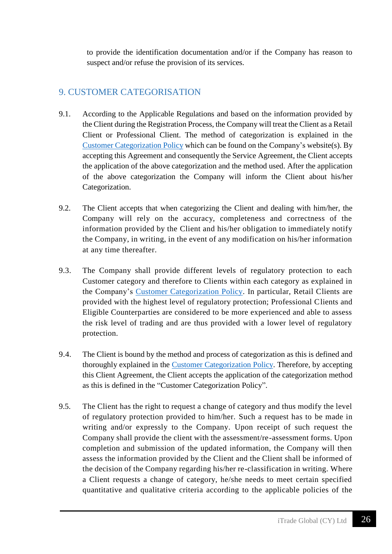to provide the identification documentation and/or if the Company has reason to suspect and/or refuse the provision of its services.

## <span id="page-25-0"></span>9. CUSTOMER CATEGORISATION

- 9.1. According to the Applicable Regulations and based on the information provided by the Client during the Registration Process, the Company will treat the Client as a Retail Client or Professional Client. The method of categorization is explained in the [Customer Categorization Policy](https://www.tradefw.com/wp-content/uploads/iTrade_Global_Customer_Categorization.pdf) which can be found on the Company's website(s). By accepting this Agreement and consequently the Service Agreement, the Client accepts the application of the above categorization and the method used. After the application of the above categorization the Company will inform the Client about his/her Categorization.
- 9.2. The Client accepts that when categorizing the Client and dealing with him/her, the Company will rely on the accuracy, completeness and correctness of the information provided by the Client and his/her obligation to immediately notify the Company, in writing, in the event of any modification on his/her information at any time thereafter.
- 9.3. The Company shall provide different levels of regulatory protection to each Customer category and therefore to Clients within each category as explained in the Company's [Customer Categorization Policy.](https://www.tradefw.com/wp-content/uploads/iTrade_Global_Customer_Categorization.pdf) In particular, Retail Clients are provided with the highest level of regulatory protection; Professional Clients and Eligible Counterparties are considered to be more experienced and able to assess the risk level of trading and are thus provided with a lower level of regulatory protection.
- 9.4. The Client is bound by the method and process of categorization as this is defined and thoroughly explained in the [Customer Categorization Policy.](https://www.tradefw.com/wp-content/uploads/iTrade_Global_Customer_Categorization.pdf) Therefore, by accepting this Client Agreement, the Client accepts the application of the categorization method as this is defined in the "Customer Categorization Policy".
- 9.5. The Client has the right to request a change of category and thus modify the level of regulatory protection provided to him/her. Such a request has to be made in writing and/or expressly to the Company. Upon receipt of such request the Company shall provide the client with the assessment/re-assessment forms. Upon completion and submission of the updated information, the Company will then assess the information provided by the Client and the Client shall be informed of the decision of the Company regarding his/her re-classification in writing. Where a Client requests a change of category, he/she needs to meet certain specified quantitative and qualitative criteria according to the applicable policies of the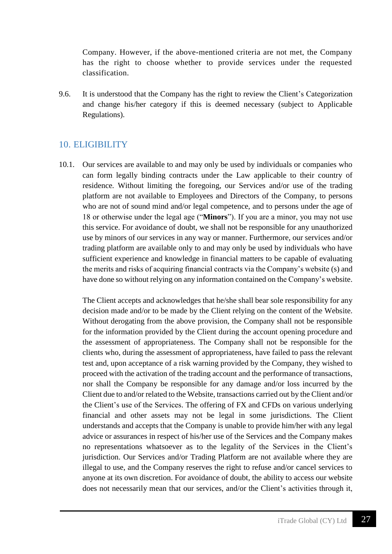Company. However, if the above-mentioned criteria are not met, the Company has the right to choose whether to provide services under the requested classification.

9.6. It is understood that the Company has the right to review the Client's Categorization and change his/her category if this is deemed necessary (subject to Applicable Regulations).

## <span id="page-26-0"></span>10. ELIGIBILITY

10.1. Our services are available to and may only be used by individuals or companies who can form legally binding contracts under the Law applicable to their country of residence*.* Without limiting the foregoing, our Services and/or use of the trading platform are not available to Employees and Directors of the Company, to persons who are not of sound mind and/or legal competence, and to persons under the age of 18 or otherwise under the legal age ("**Minors**"). If you are a minor, you may not use this service. For avoidance of doubt, we shall not be responsible for any unauthorized use by minors of our services in any way or manner. Furthermore, our services and/or trading platform are available only to and may only be used by individuals who have sufficient experience and knowledge in financial matters to be capable of evaluating the merits and risks of acquiring financial contracts via the Company's website (s) and have done so without relying on any information contained on the Company's website.

The Client accepts and acknowledges that he/she shall bear sole responsibility for any decision made and/or to be made by the Client relying on the content of the Website. Without derogating from the above provision, the Company shall not be responsible for the information provided by the Client during the account opening procedure and the assessment of appropriateness. The Company shall not be responsible for the clients who, during the assessment of appropriateness, have failed to pass the relevant test and, upon acceptance of a risk warning provided by the Company, they wished to proceed with the activation of the trading account and the performance of transactions, nor shall the Company be responsible for any damage and/or loss incurred by the Client due to and/or related to the Website, transactions carried out by the Client and/or the Client's use of the Services. The offering of FX and CFDs on various underlying financial and other assets may not be legal in some jurisdictions. The Client understands and accepts that the Company is unable to provide him/her with any legal advice or assurances in respect of his/her use of the Services and the Company makes no representations whatsoever as to the legality of the Services in the Client's jurisdiction. Our Services and/or Trading Platform are not available where they are illegal to use, and the Company reserves the right to refuse and/or cancel services to anyone at its own discretion. For avoidance of doubt, the ability to access our website does not necessarily mean that our services, and/or the Client's activities through it,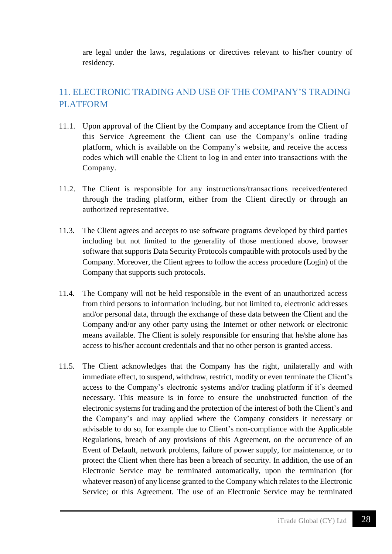are legal under the laws, regulations or directives relevant to his/her country of residency.

# <span id="page-27-0"></span>11. ELECTRONIC TRADING AND USE OF THE COMPANY'S TRADING PLATFORM

- 11.1. Upon approval of the Client by the Company and acceptance from the Client of this Service Agreement the Client can use the Company's online trading platform, which is available on the Company's website, and receive the access codes which will enable the Client to log in and enter into transactions with the Company.
- 11.2. The Client is responsible for any instructions/transactions received/entered through the trading platform, either from the Client directly or through an authorized representative.
- 11.3. The Client agrees and accepts to use software programs developed by third parties including but not limited to the generality of those mentioned above, browser software that supports Data Security Protocols compatible with protocols used by the Company. Moreover, the Client agrees to follow the access procedure (Login) of the Company that supports such protocols.
- 11.4. The Company will not be held responsible in the event of an unauthorized access from third persons to information including, but not limited to, electronic addresses and/or personal data, through the exchange of these data between the Client and the Company and/or any other party using the Internet or other network or electronic means available. The Client is solely responsible for ensuring that he/she alone has access to his/her account credentials and that no other person is granted access.
- 11.5. The Client acknowledges that the Company has the right, unilaterally and with immediate effect, to suspend, withdraw, restrict, modify or even terminate the Client's access to the Company's electronic systems and/or trading platform if it's deemed necessary. This measure is in force to ensure the unobstructed function of the electronic systems for trading and the protection of the interest of both the Client's and the Company's and may applied where the Company considers it necessary or advisable to do so, for example due to Client's non-compliance with the Applicable Regulations, breach of any provisions of this Agreement, on the occurrence of an Event of Default, network problems, failure of power supply, for maintenance, or to protect the Client when there has been a breach of security. In addition, the use of an Electronic Service may be terminated automatically, upon the termination (for whatever reason) of any license granted to the Company which relates to the Electronic Service; or this Agreement. The use of an Electronic Service may be terminated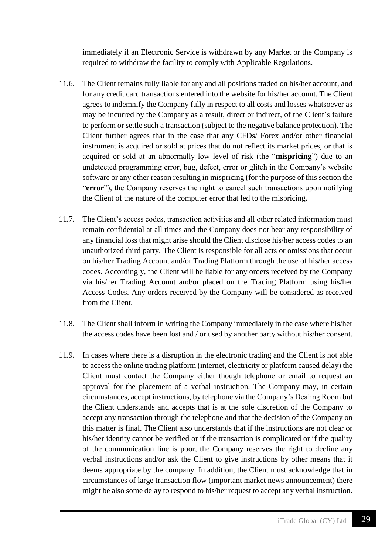immediately if an Electronic Service is withdrawn by any Market or the Company is required to withdraw the facility to comply with Applicable Regulations.

- 11.6. The Client remains fully liable for any and all positions traded on his/her account, and for any credit card transactions entered into the website for his/her account. The Client agrees to indemnify the Company fully in respect to all costs and losses whatsoever as may be incurred by the Company as a result, direct or indirect, of the Client's failure to perform or settle such a transaction (subject to the negative balance protection). The Client further agrees that in the case that any CFDs/ Forex and/or other financial instrument is acquired or sold at prices that do not reflect its market prices, or that is acquired or sold at an abnormally low level of risk (the "**mispricing**") due to an undetected programming error, bug, defect, error or glitch in the Company's website software or any other reason resulting in mispricing (for the purpose of this section the "**error**"), the Company reserves the right to cancel such transactions upon notifying the Client of the nature of the computer error that led to the mispricing.
- 11.7. The Client's access codes, transaction activities and all other related information must remain confidential at all times and the Company does not bear any responsibility of any financial loss that might arise should the Client disclose his/her access codes to an unauthorized third party. The Client is responsible for all acts or omissions that occur on his/her Trading Account and/or Trading Platform through the use of his/her access codes. Accordingly, the Client will be liable for any orders received by the Company via his/her Trading Account and/or placed on the Trading Platform using his/her Access Codes. Any orders received by the Company will be considered as received from the Client.
- 11.8. The Client shall inform in writing the Company immediately in the case where his/her the access codes have been lost and / or used by another party without his/her consent.
- 11.9. In cases where there is a disruption in the electronic trading and the Client is not able to access the online trading platform (internet, electricity or platform caused delay) the Client must contact the Company either though telephone or email to request an approval for the placement of a verbal instruction. The Company may, in certain circumstances, accept instructions, by telephone via the Company's Dealing Room but the Client understands and accepts that is at the sole discretion of the Company to accept any transaction through the telephone and that the decision of the Company on this matter is final. The Client also understands that if the instructions are not clear or his/her identity cannot be verified or if the transaction is complicated or if the quality of the communication line is poor, the Company reserves the right to decline any verbal instructions and/or ask the Client to give instructions by other means that it deems appropriate by the company. In addition, the Client must acknowledge that in circumstances of large transaction flow (important market news announcement) there might be also some delay to respond to his/her request to accept any verbal instruction.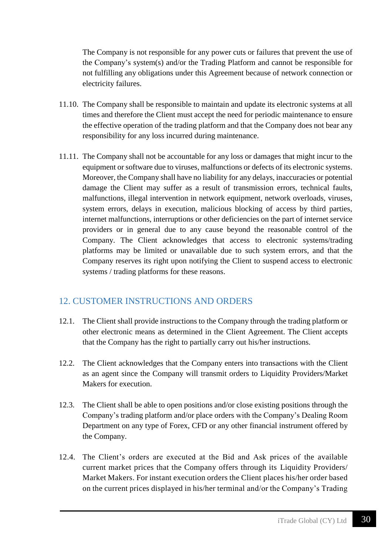The Company is not responsible for any power cuts or failures that prevent the use of the Company's system(s) and/or the Trading Platform and cannot be responsible for not fulfilling any obligations under this Agreement because of network connection or electricity failures.

- 11.10. The Company shall be responsible to maintain and update its electronic systems at all times and therefore the Client must accept the need for periodic maintenance to ensure the effective operation of the trading platform and that the Company does not bear any responsibility for any loss incurred during maintenance.
- 11.11. The Company shall not be accountable for any loss or damages that might incur to the equipment or software due to viruses, malfunctions or defects of its electronic systems. Moreover, the Company shall have no liability for any delays, inaccuracies or potential damage the Client may suffer as a result of transmission errors, technical faults, malfunctions, illegal intervention in network equipment, network overloads, viruses, system errors, delays in execution, malicious blocking of access by third parties, internet malfunctions, interruptions or other deficiencies on the part of internet service providers or in general due to any cause beyond the reasonable control of the Company. The Client acknowledges that access to electronic systems/trading platforms may be limited or unavailable due to such system errors, and that the Company reserves its right upon notifying the Client to suspend access to electronic systems / trading platforms for these reasons.

#### <span id="page-29-0"></span>12. CUSTOMER INSTRUCTIONS AND ORDERS

- 12.1. The Client shall provide instructions to the Company through the trading platform or other electronic means as determined in the Client Agreement. The Client accepts that the Company has the right to partially carry out his/her instructions.
- 12.2. The Client acknowledges that the Company enters into transactions with the Client as an agent since the Company will transmit orders to Liquidity Providers/Market Makers for execution.
- 12.3. The Client shall be able to open positions and/or close existing positions through the Company's trading platform and/or place orders with the Company's Dealing Room Department on any type of Forex, CFD or any other financial instrument offered by the Company.
- 12.4. The Client's orders are executed at the Bid and Ask prices of the available current market prices that the Company offers through its Liquidity Providers/ Market Makers. For instant execution orders the Client places his/her order based on the current prices displayed in his/her terminal and/or the Company's Trading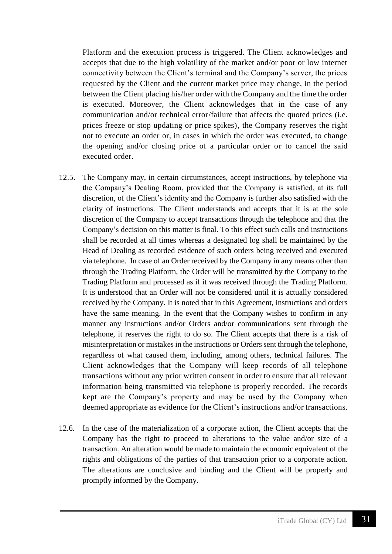Platform and the execution process is triggered. The Client acknowledges and accepts that due to the high volatility of the market and/or poor or low internet connectivity between the Client's terminal and the Company's server, the prices requested by the Client and the current market price may change, in the period between the Client placing his/her order with the Company and the time the order is executed. Moreover, the Client acknowledges that in the case of any communication and/or technical error/failure that affects the quoted prices (i.e. prices freeze or stop updating or price spikes), the Company reserves the right not to execute an order or, in cases in which the order was executed, to change the opening and/or closing price of a particular order or to cancel the said executed order.

- 12.5. The Company may, in certain circumstances, accept instructions, by telephone via the Company's Dealing Room, provided that the Company is satisfied, at its full discretion, of the Client's identity and the Company is further also satisfied with the clarity of instructions. The Client understands and accepts that it is at the sole discretion of the Company to accept transactions through the telephone and that the Company's decision on this matter is final. To this effect such calls and instructions shall be recorded at all times whereas a designated log shall be maintained by the Head of Dealing as recorded evidence of such orders being received and executed via telephone. In case of an Order received by the Company in any means other than through the Trading Platform, the Order will be transmitted by the Company to the Trading Platform and processed as if it was received through the Trading Platform. It is understood that an Order will not be considered until it is actually considered received by the Company. It is noted that in this Agreement, instructions and orders have the same meaning. In the event that the Company wishes to confirm in any manner any instructions and/or Orders and/or communications sent through the telephone, it reserves the right to do so. The Client accepts that there is a risk of misinterpretation or mistakes in the instructions or Orders sent through the telephone, regardless of what caused them, including, among others, technical failures. The Client acknowledges that the Company will keep records of all telephone transactions without any prior written consent in order to ensure that all relevant information being transmitted via telephone is properly recorded. The records kept are the Company's property and may be used by the Company when deemed appropriate as evidence for the Client's instructions and/or transactions.
- 12.6. In the case of the materialization of a corporate action, the Client accepts that the Company has the right to proceed to alterations to the value and/or size of a transaction. An alteration would be made to maintain the economic equivalent of the rights and obligations of the parties of that transaction prior to a corporate action. The alterations are conclusive and binding and the Client will be properly and promptly informed by the Company.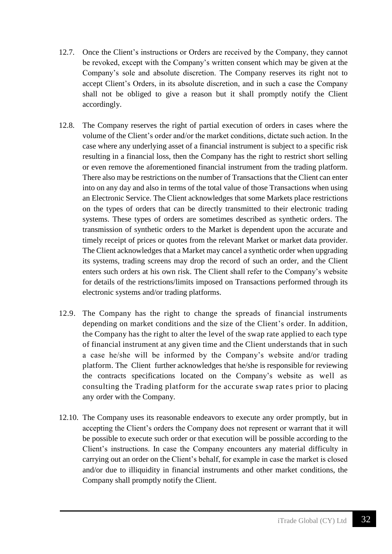- 12.7. Once the Client's instructions or Orders are received by the Company, they cannot be revoked, except with the Company's written consent which may be given at the Company's sole and absolute discretion. The Company reserves its right not to accept Client's Orders, in its absolute discretion, and in such a case the Company shall not be obliged to give a reason but it shall promptly notify the Client accordingly.
- 12.8. The Company reserves the right of partial execution of orders in cases where the volume of the Client's order and/or the market conditions, dictate such action. In the case where any underlying asset of a financial instrument is subject to a specific risk resulting in a financial loss, then the Company has the right to restrict short selling or even remove the aforementioned financial instrument from the trading platform. There also may be restrictions on the number of Transactions that the Client can enter into on any day and also in terms of the total value of those Transactions when using an Electronic Service. The Client acknowledges that some Markets place restrictions on the types of orders that can be directly transmitted to their electronic trading systems. These types of orders are sometimes described as synthetic orders. The transmission of synthetic orders to the Market is dependent upon the accurate and timely receipt of prices or quotes from the relevant Market or market data provider. The Client acknowledges that a Market may cancel a synthetic order when upgrading its systems, trading screens may drop the record of such an order, and the Client enters such orders at his own risk. The Client shall refer to the Company's website for details of the restrictions/limits imposed on Transactions performed through its electronic systems and/or trading platforms.
- 12.9. The Company has the right to change the spreads of financial instruments depending on market conditions and the size of the Client's order. In addition, the Company has the right to alter the level of the swap rate applied to each type of financial instrument at any given time and the Client understands that in such a case he/she will be informed by the Company's website and/or trading platform. The Client further acknowledges that he/she is responsible for reviewing the contracts specifications located on the Company's website as well as consulting the Trading platform for the accurate swap rates prior to placing any order with the Company.
- 12.10. The Company uses its reasonable endeavors to execute any order promptly, but in accepting the Client's orders the Company does not represent or warrant that it will be possible to execute such order or that execution will be possible according to the Client's instructions. In case the Company encounters any material difficulty in carrying out an order on the Client's behalf, for example in case the market is closed and/or due to illiquidity in financial instruments and other market conditions, the Company shall promptly notify the Client.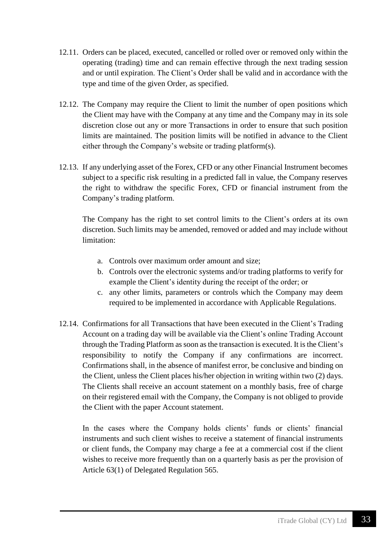- 12.11. Orders can be placed, executed, cancelled or rolled over or removed only within the operating (trading) time and can remain effective through the next trading session and or until expiration. The Client's Order shall be valid and in accordance with the type and time of the given Order, as specified.
- 12.12. The Company may require the Client to limit the number of open positions which the Client may have with the Company at any time and the Company may in its sole discretion close out any or more Transactions in order to ensure that such position limits are maintained. The position limits will be notified in advance to the Client either through the Company's website or trading platform(s).
- 12.13. If any underlying asset of the Forex, CFD or any other Financial Instrument becomes subject to a specific risk resulting in a predicted fall in value, the Company reserves the right to withdraw the specific Forex, CFD or financial instrument from the Company's trading platform.

The Company has the right to set control limits to the Client's orders at its own discretion. Such limits may be amended, removed or added and may include without limitation:

- a. Controls over maximum order amount and size;
- b. Controls over the electronic systems and/or trading platforms to verify for example the Client's identity during the receipt of the order; or
- c. any other limits, parameters or controls which the Company may deem required to be implemented in accordance with Applicable Regulations.
- 12.14. Confirmations for all Transactions that have been executed in the Client's Trading Account on a trading day will be available via the Client's online Trading Account through the Trading Platform as soon as the transaction is executed. It is the Client's responsibility to notify the Company if any confirmations are incorrect. Confirmations shall, in the absence of manifest error, be conclusive and binding on the Client, unless the Client places his/her objection in writing within two (2) days. The Clients shall receive an account statement on a monthly basis, free of charge on their registered email with the Company, the Company is not obliged to provide the Client with the paper Account statement.

In the cases where the Company holds clients' funds or clients' financial instruments and such client wishes to receive a statement of financial instruments or client funds, the Company may charge a fee at a commercial cost if the client wishes to receive more frequently than on a quarterly basis as per the provision of Article 63(1) of Delegated Regulation 565.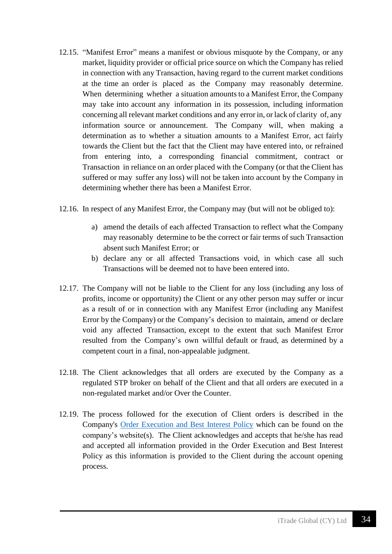- 12.15. "Manifest Error" means a manifest or obvious misquote by the Company, or any market, liquidity provider or official price source on which the Company has relied in connection with any Transaction, having regard to the current market conditions at the time an order is placed as the Company may reasonably determine. When determining whether a situation amounts to a Manifest Error, the Company may take into account any information in its possession, including information concerning all relevant market conditions and any error in, or lack of clarity of, any information source or announcement. The Company will, when making a determination as to whether a situation amounts to a Manifest Error, act fairly towards the Client but the fact that the Client may have entered into, or refrained from entering into, a corresponding financial commitment, contract or Transaction in reliance on an order placed with the Company (or that the Client has suffered or may suffer any loss) will not be taken into account by the Company in determining whether there has been a Manifest Error.
- 12.16. In respect of any Manifest Error, the Company may (but will not be obliged to):
	- a) amend the details of each affected Transaction to reflect what the Company may reasonably determine to be the correct or fair terms of such Transaction absent such Manifest Error; or
	- b) declare any or all affected Transactions void, in which case all such Transactions will be deemed not to have been entered into.
- 12.17. The Company will not be liable to the Client for any loss (including any loss of profits, income or opportunity) the Client or any other person may suffer or incur as a result of or in connection with any Manifest Error (including any Manifest Error by the Company) or the Company's decision to maintain, amend or declare void any affected Transaction, except to the extent that such Manifest Error resulted from the Company's own willful default or fraud, as determined by a competent court in a final, non-appealable judgment.
- 12.18. The Client acknowledges that all orders are executed by the Company as a regulated STP broker on behalf of the Client and that all orders are executed in a non-regulated market and/or Over the Counter.
- 12.19. The process followed for the execution of Client orders is described in the Company's [Order Execution and Best Interest Policy](https://www.tradefw.com/wp-content/uploads/iTrade-_Global_Order_Execution_Best_Interest_Policy.pdf) which can be found on the company's website(s). The Client acknowledges and accepts that he/she has read and accepted all information provided in the Order Execution and Best Interest Policy as this information is provided to the Client during the account opening process.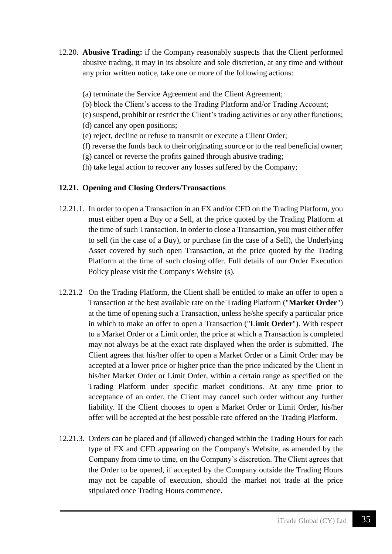- 12.20. **Abusive Trading:** if the Company reasonably suspects that the Client performed abusive trading, it may in its absolute and sole discretion, at any time and without any prior written notice, take one or more of the following actions:
	- (a) terminate the Service Agreement and the Client Agreement;
	- (b) block the Client's access to the Trading Platform and/or Trading Account;
	- (c) suspend, prohibit or restrict the Client's trading activities or any other functions; (d) cancel any open positions;
	- (e) reject, decline or refuse to transmit or execute a Client Order;
	- (f) reverse the funds back to their originating source or to the real beneficial owner;
	- (g) cancel or reverse the profits gained through abusive trading;
	- (h) take legal action to recover any losses suffered by the Company;

#### **12.21. Opening and Closing Orders/Transactions**

- 12.21.1. In order to open a Transaction in an FX and/or CFD on the Trading Platform, you must either open a Buy or a Sell, at the price quoted by the Trading Platform at the time of such Transaction. In order to close a Transaction, you must either offer to sell (in the case of a Buy), or purchase (in the case of a Sell), the Underlying Asset covered by such open Transaction, at the price quoted by the Trading Platform at the time of such closing offer. Full details of our Order Execution Policy please visit the Company's Website (s).
- 12.21.2 On the Trading Platform, the Client shall be entitled to make an offer to open a Transaction at the best available rate on the Trading Platform ("**Market Order**") at the time of opening such a Transaction, unless he/she specify a particular price in which to make an offer to open a Transaction ("**Limit Order**"). With respect to a Market Order or a Limit order, the price at which a Transaction is completed may not always be at the exact rate displayed when the order is submitted. The Client agrees that his/her offer to open a Market Order or a Limit Order may be accepted at a lower price or higher price than the price indicated by the Client in his/her Market Order or Limit Order, within a certain range as specified on the Trading Platform under specific market conditions. At any time prior to acceptance of an order, the Client may cancel such order without any further liability. If the Client chooses to open a Market Order or Limit Order, his/her offer will be accepted at the best possible rate offered on the Trading Platform.
- 12.21.3. Orders can be placed and (if allowed) changed within the Trading Hours for each type of FX and CFD appearing on the Company's Website, as amended by the Company from time to time, on the Company's discretion. The Client agrees that the Order to be opened, if accepted by the Company outside the Trading Hours may not be capable of execution, should the market not trade at the price stipulated once Trading Hours commence.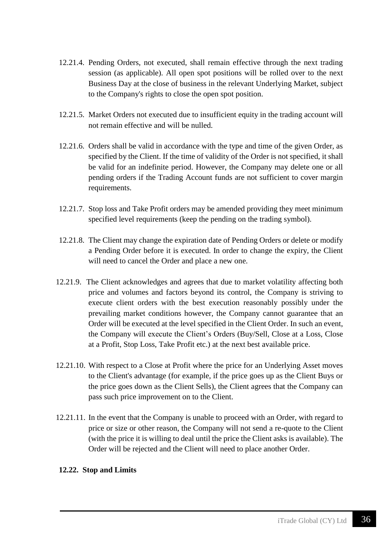- 12.21.4. Pending Orders, not executed, shall remain effective through the next trading session (as applicable). All open spot positions will be rolled over to the next Business Day at the close of business in the relevant Underlying Market, subject to the Company's rights to close the open spot position.
- 12.21.5. Market Orders not executed due to insufficient equity in the trading account will not remain effective and will be nulled.
- 12.21.6. Orders shall be valid in accordance with the type and time of the given Order, as specified by the Client. If the time of validity of the Order is not specified, it shall be valid for an indefinite period. However, the Company may delete one or all pending orders if the Trading Account funds are not sufficient to cover margin requirements.
- 12.21.7. Stop loss and Take Profit orders may be amended providing they meet minimum specified level requirements (keep the pending on the trading symbol).
- 12.21.8. The Client may change the expiration date of Pending Orders or delete or modify a Pending Order before it is executed. In order to change the expiry, the Client will need to cancel the Order and place a new one.
- 12.21.9. The Client acknowledges and agrees that due to market volatility affecting both price and volumes and factors beyond its control, the Company is striving to execute client orders with the best execution reasonably possibly under the prevailing market conditions however, the Company cannot guarantee that an Order will be executed at the level specified in the Client Order. In such an event, the Company will execute the Client's Orders (Buy/Sell, Close at a Loss, Close at a Profit, Stop Loss, Take Profit etc.) at the next best available price.
- 12.21.10. With respect to a Close at Profit where the price for an Underlying Asset moves to the Client's advantage (for example, if the price goes up as the Client Buys or the price goes down as the Client Sells), the Client agrees that the Company can pass such price improvement on to the Client.
- 12.21.11. In the event that the Company is unable to proceed with an Order, with regard to price or size or other reason, the Company will not send a re-quote to the Client (with the price it is willing to deal until the price the Client asks is available). The Order will be rejected and the Client will need to place another Order.

#### **12.22. Stop and Limits**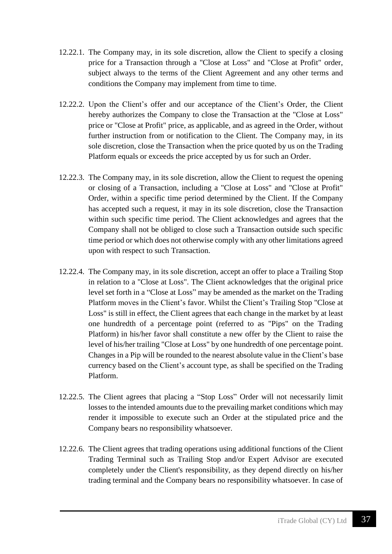- 12.22.1. The Company may, in its sole discretion, allow the Client to specify a closing price for a Transaction through a "Close at Loss" and "Close at Profit" order, subject always to the terms of the Client Agreement and any other terms and conditions the Company may implement from time to time.
- 12.22.2. Upon the Client's offer and our acceptance of the Client's Order, the Client hereby authorizes the Company to close the Transaction at the "Close at Loss" price or "Close at Profit" price, as applicable, and as agreed in the Order, without further instruction from or notification to the Client. The Company may, in its sole discretion, close the Transaction when the price quoted by us on the Trading Platform equals or exceeds the price accepted by us for such an Order.
- 12.22.3. The Company may, in its sole discretion, allow the Client to request the opening or closing of a Transaction, including a "Close at Loss" and "Close at Profit" Order, within a specific time period determined by the Client. If the Company has accepted such a request, it may in its sole discretion, close the Transaction within such specific time period. The Client acknowledges and agrees that the Company shall not be obliged to close such a Transaction outside such specific time period or which does not otherwise comply with any other limitations agreed upon with respect to such Transaction.
- 12.22.4. The Company may, in its sole discretion, accept an offer to place a Trailing Stop in relation to a "Close at Loss". The Client acknowledges that the original price level set forth in a "Close at Loss" may be amended as the market on the Trading Platform moves in the Client's favor. Whilst the Client's Trailing Stop "Close at Loss" is still in effect, the Client agrees that each change in the market by at least one hundredth of a percentage point (referred to as "Pips" on the Trading Platform) in his/her favor shall constitute a new offer by the Client to raise the level of his/her trailing "Close at Loss" by one hundredth of one percentage point. Changes in a Pip will be rounded to the nearest absolute value in the Client's base currency based on the Client's account type, as shall be specified on the Trading Platform.
- 12.22.5. The Client agrees that placing a "Stop Loss" Order will not necessarily limit losses to the intended amounts due to the prevailing market conditions which may render it impossible to execute such an Order at the stipulated price and the Company bears no responsibility whatsoever.
- 12.22.6. The Client agrees that trading operations using additional functions of the Client Trading Terminal such as Trailing Stop and/or Expert Advisor are executed completely under the Client's responsibility, as they depend directly on his/her trading terminal and the Company bears no responsibility whatsoever. In case of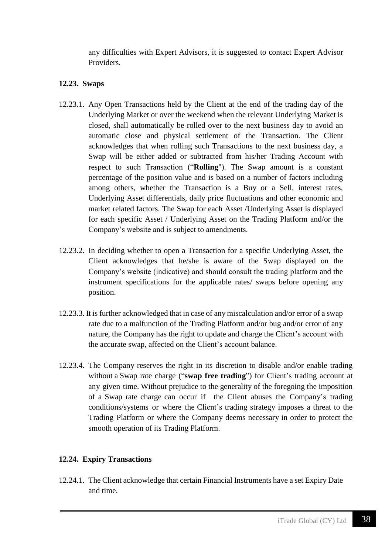any difficulties with Expert Advisors, it is suggested to contact Expert Advisor Providers.

#### **12.23. Swaps**

- 12.23.1. Any Open Transactions held by the Client at the end of the trading day of the Underlying Market or over the weekend when the relevant Underlying Market is closed, shall automatically be rolled over to the next business day to avoid an automatic close and physical settlement of the Transaction. The Client acknowledges that when rolling such Transactions to the next business day, a Swap will be either added or subtracted from his/her Trading Account with respect to such Transaction ("**Rolling**"). The Swap amount is a constant percentage of the position value and is based on a number of factors including among others, whether the Transaction is a Buy or a Sell, interest rates, Underlying Asset differentials, daily price fluctuations and other economic and market related factors. The Swap for each Asset /Underlying Asset is displayed for each specific Asset / Underlying Asset on the Trading Platform and/or the Company's website and is subject to amendments.
- 12.23.2. In deciding whether to open a Transaction for a specific Underlying Asset, the Client acknowledges that he/she is aware of the Swap displayed on the Company's website (indicative) and should consult the trading platform and the instrument specifications for the applicable rates/ swaps before opening any position.
- 12.23.3. It is further acknowledged that in case of any miscalculation and/or error of a swap rate due to a malfunction of the Trading Platform and/or bug and/or error of any nature, the Company has the right to update and charge the Client's account with the accurate swap, affected on the Client's account balance.
- 12.23.4. The Company reserves the right in its discretion to disable and/or enable trading without a Swap rate charge ("**swap free trading**") for Client's trading account at any given time. Without prejudice to the generality of the foregoing the imposition of a Swap rate charge can occur if the Client abuses the Company's trading conditions/systems or where the Client's trading strategy imposes a threat to the Trading Platform or where the Company deems necessary in order to protect the smooth operation of its Trading Platform.

### **12.24. Expiry Transactions**

12.24.1. The Client acknowledge that certain Financial Instruments have a set Expiry Date and time.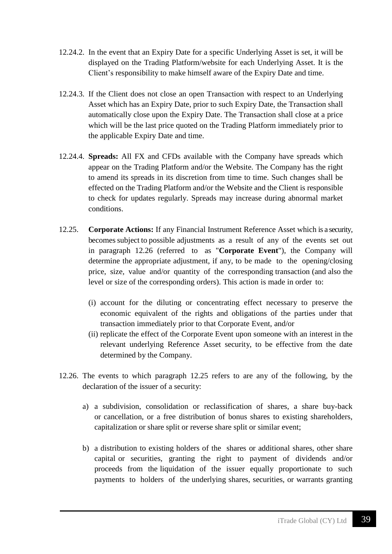- 12.24.2. In the event that an Expiry Date for a specific Underlying Asset is set, it will be displayed on the Trading Platform/website for each Underlying Asset. It is the Client's responsibility to make himself aware of the Expiry Date and time.
- 12.24.3. If the Client does not close an open Transaction with respect to an Underlying Asset which has an Expiry Date, prior to such Expiry Date, the Transaction shall automatically close upon the Expiry Date. The Transaction shall close at a price which will be the last price quoted on the Trading Platform immediately prior to the applicable Expiry Date and time.
- 12.24.4. **Spreads:** All FX and CFDs available with the Company have spreads which appear on the Trading Platform and/or the Website. The Company has the right to amend its spreads in its discretion from time to time. Such changes shall be effected on the Trading Platform and/or the Website and the Client is responsible to check for updates regularly. Spreads may increase during abnormal market conditions.
- 12.25. **Corporate Actions:** If any Financial Instrument Reference Asset which is a security, becomes subject to possible adjustments as a result of any of the events set out in paragraph 12.26 (referred to as "**Corporate Event**"), the Company will determine the appropriate adjustment, if any, to be made to the opening/closing price, size, value and/or quantity of the corresponding transaction (and also the level or size of the corresponding orders). This action is made in order to:
	- (i) account for the diluting or concentrating effect necessary to preserve the economic equivalent of the rights and obligations of the parties under that transaction immediately prior to that Corporate Event, and/or
	- (ii) replicate the effect of the Corporate Event upon someone with an interest in the relevant underlying Reference Asset security, to be effective from the date determined by the Company.
- 12.26. The events to which paragraph 12.25 refers to are any of the following, by the declaration of the issuer of a security:
	- a) a subdivision, consolidation or reclassification of shares, a share buy-back or cancellation, or a free distribution of bonus shares to existing shareholders, capitalization or share split or reverse share split or similar event;
	- b) a distribution to existing holders of the shares or additional shares, other share capital or securities, granting the right to payment of dividends and/or proceeds from the liquidation of the issuer equally proportionate to such payments to holders of the underlying shares, securities, or warrants granting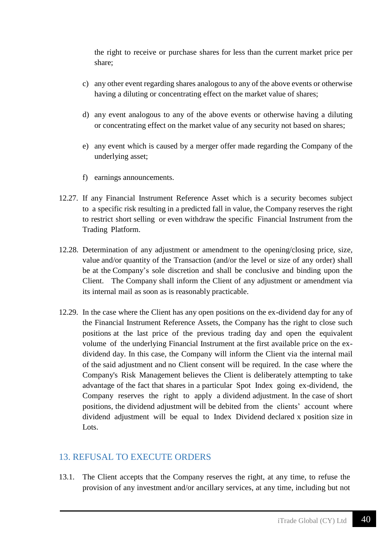the right to receive or purchase shares for less than the current market price per share;

- c) any other event regarding shares analogous to any of the above events or otherwise having a diluting or concentrating effect on the market value of shares;
- d) any event analogous to any of the above events or otherwise having a diluting or concentrating effect on the market value of any security not based on shares;
- e) any event which is caused by a merger offer made regarding the Company of the underlying asset;
- f) earnings announcements.
- 12.27. If any Financial Instrument Reference Asset which is a security becomes subject to a specific risk resulting in a predicted fall in value, the Company reserves the right to restrict short selling or even withdraw the specific Financial Instrument from the Trading Platform.
- 12.28. Determination of any adjustment or amendment to the opening/closing price, size, value and/or quantity of the Transaction (and/or the level or size of any order) shall be at the Company's sole discretion and shall be conclusive and binding upon the Client. The Company shall inform the Client of any adjustment or amendment via its internal mail as soon as is reasonably practicable.
- 12.29. In the case where the Client has any open positions on the ex-dividend day for any of the Financial Instrument Reference Assets, the Company has the right to close such positions at the last price of the previous trading day and open the equivalent volume of the underlying Financial Instrument at the first available price on the exdividend day. In this case, the Company will inform the Client via the internal mail of the said adjustment and no Client consent will be required. In the case where the Company's Risk Management believes the Client is deliberately attempting to take advantage of the fact that shares in a particular Spot Index going ex-dividend, the Company reserves the right to apply a dividend adjustment. In the case of short positions, the dividend adjustment will be debited from the clients' account where dividend adjustment will be equal to Index Dividend declared x position size in Lots.

### 13. REFUSAL TO EXECUTE ORDERS

13.1. The Client accepts that the Company reserves the right, at any time, to refuse the provision of any investment and/or ancillary services, at any time, including but not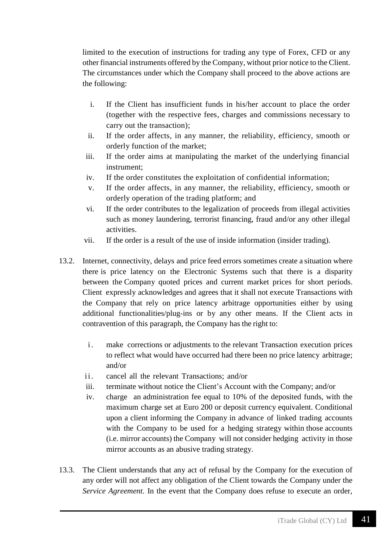limited to the execution of instructions for trading any type of Forex, CFD or any other financial instruments offered by the Company, without prior notice to the Client. The circumstances under which the Company shall proceed to the above actions are the following:

- i. If the Client has insufficient funds in his/her account to place the order (together with the respective fees, charges and commissions necessary to carry out the transaction);
- ii. If the order affects, in any manner, the reliability, efficiency, smooth or orderly function of the market;
- iii. If the order aims at manipulating the market of the underlying financial instrument;
- iv. If the order constitutes the exploitation of confidential information;
- v. If the order affects, in any manner, the reliability, efficiency, smooth or orderly operation of the trading platform; and
- vi. If the order contributes to the legalization of proceeds from illegal activities such as money laundering, terrorist financing, fraud and/or any other illegal activities.
- vii. If the order is a result of the use of inside information (insider trading).
- 13.2. Internet, connectivity, delays and price feed errors sometimes create a situation where there is price latency on the Electronic Systems such that there is a disparity between the Company quoted prices and current market prices for short periods. Client expressly acknowledges and agrees that it shall not execute Transactions with the Company that rely on price latency arbitrage opportunities either by using additional functionalities/plug-ins or by any other means. If the Client acts in contravention of this paragraph, the Company has the right to:
	- i. make corrections or adjustments to the relevant Transaction execution prices to reflect what would have occurred had there been no price latency arbitrage; and/or
	- ii. cancel all the relevant Transactions; and/or
	- iii. terminate without notice the Client's Account with the Company; and/or
	- iv. charge an administration fee equal to 10% of the deposited funds, with the maximum charge set at Euro 200 or deposit currency equivalent. Conditional upon a client informing the Company in advance of linked trading accounts with the Company to be used for a hedging strategy within those accounts (i.e. mirror accounts) the Company will not consider hedging activity in those mirror accounts as an abusive trading strategy.
- 13.3. The Client understands that any act of refusal by the Company for the execution of any order will not affect any obligation of the Client towards the Company under the *Service Agreement*. In the event that the Company does refuse to execute an order,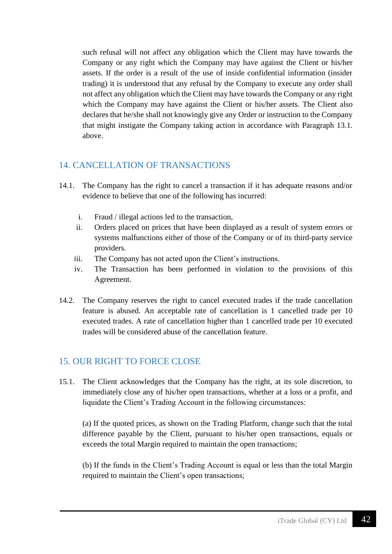such refusal will not affect any obligation which the Client may have towards the Company or any right which the Company may have against the Client or his/her assets. If the order is a result of the use of inside confidential information (insider trading) it is understood that any refusal by the Company to execute any order shall not affect any obligation which the Client may have towards the Company or any right which the Company may have against the Client or his/her assets. The Client also declares that he/she shall not knowingly give any Order or instruction to the Company that might instigate the Company taking action in accordance with Paragraph 13.1. above.

#### 14. CANCELLATION OF TRANSACTIONS

- 14.1. The Company has the right to cancel a transaction if it has adequate reasons and/or evidence to believe that one of the following has incurred:
	- i. Fraud / illegal actions led to the transaction,
	- ii. Orders placed on prices that have been displayed as a result of system errors or systems malfunctions either of those of the Company or of its third-party service providers.
	- iii. The Company has not acted upon the Client's instructions.
	- iv. The Transaction has been performed in violation to the provisions of this Agreement.
- 14.2. The Company reserves the right to cancel executed trades if the trade cancellation feature is abused. An acceptable rate of cancellation is 1 cancelled trade per 10 executed trades. A rate of cancellation higher than 1 cancelled trade per 10 executed trades will be considered abuse of the cancellation feature.

### 15. OUR RIGHT TO FORCE CLOSE

15.1. The Client acknowledges that the Company has the right, at its sole discretion, to immediately close any of his/her open transactions, whether at a loss or a profit, and liquidate the Client's Trading Account in the following circumstances:

(a) If the quoted prices, as shown on the Trading Platform, change such that the total difference payable by the Client, pursuant to his/her open transactions, equals or exceeds the total Margin required to maintain the open transactions;

(b) If the funds in the Client's Trading Account is equal or less than the total Margin required to maintain the Client's open transactions;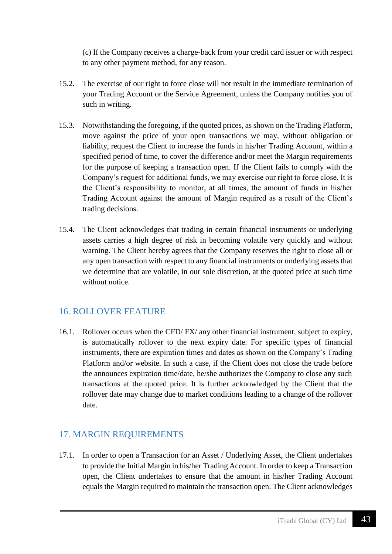(c) If the Company receives a charge-back from your credit card issuer or with respect to any other payment method, for any reason.

- 15.2. The exercise of our right to force close will not result in the immediate termination of your Trading Account or the Service Agreement, unless the Company notifies you of such in writing.
- 15.3. Notwithstanding the foregoing, if the quoted prices, as shown on the Trading Platform, move against the price of your open transactions we may, without obligation or liability, request the Client to increase the funds in his/her Trading Account, within a specified period of time, to cover the difference and/or meet the Margin requirements for the purpose of keeping a transaction open. If the Client fails to comply with the Company's request for additional funds, we may exercise our right to force close. It is the Client's responsibility to monitor, at all times, the amount of funds in his/her Trading Account against the amount of Margin required as a result of the Client's trading decisions.
- 15.4. The Client acknowledges that trading in certain financial instruments or underlying assets carries a high degree of risk in becoming volatile very quickly and without warning. The Client hereby agrees that the Company reserves the right to close all or any open transaction with respect to any financial instruments or underlying assets that we determine that are volatile, in our sole discretion, at the quoted price at such time without notice.

# 16. ROLLOVER FEATURE

16.1. Rollover occurs when the CFD/ FX/ any other financial instrument, subject to expiry, is automatically rollover to the next expiry date. For specific types of financial instruments, there are expiration times and dates as shown on the Company's Trading Platform and/or website. In such a case, if the Client does not close the trade before the announces expiration time/date, he/she authorizes the Company to close any such transactions at the quoted price. It is further acknowledged by the Client that the rollover date may change due to market conditions leading to a change of the rollover date.

# 17. MARGIN REQUIREMENTS

17.1. In order to open a Transaction for an Asset / Underlying Asset, the Client undertakes to provide the Initial Margin in his/her Trading Account. In order to keep a Transaction open, the Client undertakes to ensure that the amount in his/her Trading Account equals the Margin required to maintain the transaction open. The Client acknowledges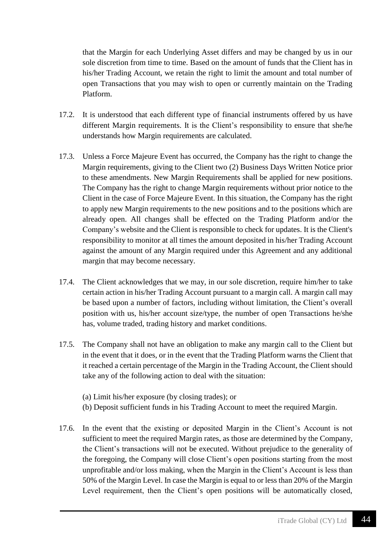that the Margin for each Underlying Asset differs and may be changed by us in our sole discretion from time to time. Based on the amount of funds that the Client has in his/her Trading Account, we retain the right to limit the amount and total number of open Transactions that you may wish to open or currently maintain on the Trading Platform.

- 17.2. It is understood that each different type of financial instruments offered by us have different Margin requirements. It is the Client's responsibility to ensure that she/he understands how Margin requirements are calculated.
- 17.3. Unless a Force Majeure Event has occurred, the Company has the right to change the Margin requirements, giving to the Client two (2) Business Days Written Notice prior to these amendments. New Margin Requirements shall be applied for new positions. The Company has the right to change Margin requirements without prior notice to the Client in the case of Force Majeure Event. In this situation, the Company has the right to apply new Margin requirements to the new positions and to the positions which are already open. All changes shall be effected on the Trading Platform and/or the Company's website and the Client is responsible to check for updates. It is the Client's responsibility to monitor at all times the amount deposited in his/her Trading Account against the amount of any Margin required under this Agreement and any additional margin that may become necessary.
- 17.4. The Client acknowledges that we may, in our sole discretion, require him/her to take certain action in his/her Trading Account pursuant to a margin call. A margin call may be based upon a number of factors, including without limitation, the Client's overall position with us, his/her account size/type, the number of open Transactions he/she has, volume traded, trading history and market conditions.
- 17.5. The Company shall not have an obligation to make any margin call to the Client but in the event that it does, or in the event that the Trading Platform warns the Client that it reached a certain percentage of the Margin in the Trading Account, the Client should take any of the following action to deal with the situation:
	- (a) Limit his/her exposure (by closing trades); or
	- (b) Deposit sufficient funds in his Trading Account to meet the required Margin.
- 17.6. In the event that the existing or deposited Margin in the Client's Account is not sufficient to meet the required Margin rates, as those are determined by the Company, the Client's transactions will not be executed. Without prejudice to the generality of the foregoing, the Company will close Client's open positions starting from the most unprofitable and/or loss making, when the Margin in the Client's Account is less than 50% of the Margin Level. In case the Margin is equal to or less than 20% of the Margin Level requirement, then the Client's open positions will be automatically closed,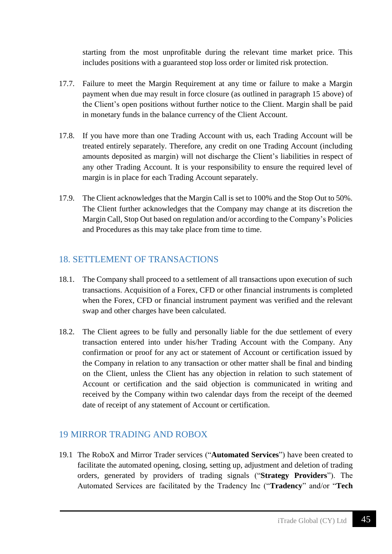starting from the most unprofitable during the relevant time market price. This includes positions with a guaranteed stop loss order or limited risk protection.

- 17.7. Failure to meet the Margin Requirement at any time or failure to make a Margin payment when due may result in force closure (as outlined in paragraph 15 above) of the Client's open positions without further notice to the Client. Margin shall be paid in monetary funds in the balance currency of the Client Account.
- 17.8. If you have more than one Trading Account with us, each Trading Account will be treated entirely separately. Therefore, any credit on one Trading Account (including amounts deposited as margin) will not discharge the Client's liabilities in respect of any other Trading Account. It is your responsibility to ensure the required level of margin is in place for each Trading Account separately.
- 17.9. The Client acknowledges that the Margin Call is set to 100% and the Stop Out to 50%. The Client further acknowledges that the Company may change at its discretion the Margin Call, Stop Out based on regulation and/or according to the Company's Policies and Procedures as this may take place from time to time.

## 18. SETTLEMENT OF TRANSACTIONS

- 18.1. The Company shall proceed to a settlement of all transactions upon execution of such transactions. Acquisition of a Forex, CFD or other financial instruments is completed when the Forex, CFD or financial instrument payment was verified and the relevant swap and other charges have been calculated.
- 18.2. The Client agrees to be fully and personally liable for the due settlement of every transaction entered into under his/her Trading Account with the Company. Any confirmation or proof for any act or statement of Account or certification issued by the Company in relation to any transaction or other matter shall be final and binding on the Client, unless the Client has any objection in relation to such statement of Account or certification and the said objection is communicated in writing and received by the Company within two calendar days from the receipt of the deemed date of receipt of any statement of Account or certification.

# 19 MIRROR TRADING AND ROBOX

19.1 The RoboX and Mirror Trader services ("**Automated Services**") have been created to facilitate the automated opening, closing, setting up, adjustment and deletion of trading orders, generated by providers of trading signals ("**Strategy Providers**"). The Automated Services are facilitated by the Tradency Inc ("**Tradency**" and/or "**Tech**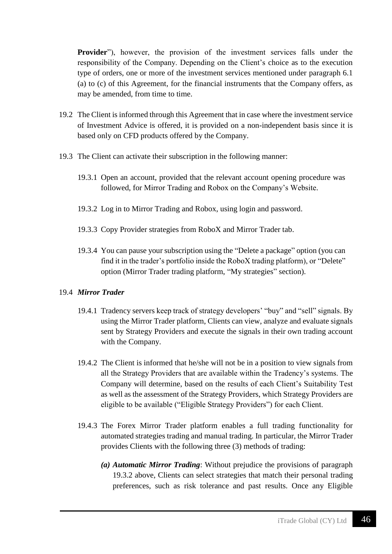**Provider**"), however, the provision of the investment services falls under the responsibility of the Company. Depending on the Client's choice as to the execution type of orders, one or more of the investment services mentioned under paragraph 6.1 (a) to (c) of this Agreement, for the financial instruments that the Company offers, as may be amended, from time to time.

- 19.2 The Client is informed through this Agreement that in case where the investment service of Investment Advice is offered, it is provided on a non-independent basis since it is based only on CFD products offered by the Company.
- 19.3 The Client can activate their subscription in the following manner:
	- 19.3.1 Open an account, provided that the relevant account opening procedure was followed, for Mirror Trading and Robox on the Company's Website.
	- 19.3.2 Log in to Mirror Trading and Robox, using login and password.
	- 19.3.3 Copy Provider strategies from RoboX and Mirror Trader tab.
	- 19.3.4 You can pause your subscription using the "Delete a package" option (you can find it in the trader's portfolio inside the RoboX trading platform), or "Delete" option (Mirror Trader trading platform, "My strategies" section).

#### 19.4 *Mirror Trader*

- 19.4.1 Tradency servers keep track of strategy developers' "buy" and "sell" signals. By using the Mirror Trader platform, Clients can view, analyze and evaluate signals sent by Strategy Providers and execute the signals in their own trading account with the Company.
- 19.4.2 The Client is informed that he/she will not be in a position to view signals from all the Strategy Providers that are available within the Tradency's systems. The Company will determine, based on the results of each Client's Suitability Test as well as the assessment of the Strategy Providers, which Strategy Providers are eligible to be available ("Eligible Strategy Providers") for each Client.
- 19.4.3 The Forex Mirror Trader platform enables a full trading functionality for automated strategies trading and manual trading. In particular, the Mirror Trader provides Clients with the following three (3) methods of trading:
	- *(a) Automatic Mirror Trading*: Without prejudice the provisions of paragraph 19.3.2 above, Clients can select strategies that match their personal trading preferences, such as risk tolerance and past results. Once any Eligible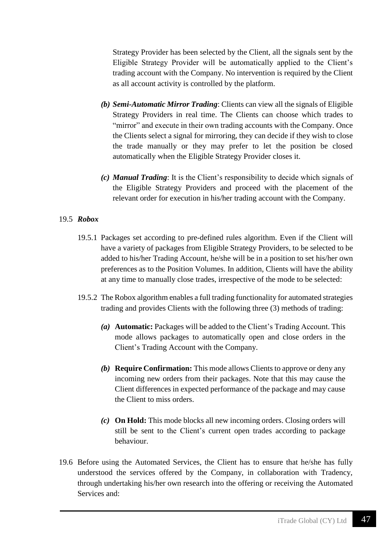Strategy Provider has been selected by the Client, all the signals sent by the Eligible Strategy Provider will be automatically applied to the Client's trading account with the Company. No intervention is required by the Client as all account activity is controlled by the platform.

- *(b) Semi-Automatic Mirror Trading*: Clients can view all the signals of Eligible Strategy Providers in real time. The Clients can choose which trades to "mirror" and execute in their own trading accounts with the Company. Once the Clients select a signal for mirroring, they can decide if they wish to close the trade manually or they may prefer to let the position be closed automatically when the Eligible Strategy Provider closes it.
- *(c) Manual Trading*: It is the Client's responsibility to decide which signals of the Eligible Strategy Providers and proceed with the placement of the relevant order for execution in his/her trading account with the Company.

#### 19.5 *Robox*

- 19.5.1 Packages set according to pre-defined rules algorithm. Even if the Client will have a variety of packages from Eligible Strategy Providers, to be selected to be added to his/her Trading Account, he/she will be in a position to set his/her own preferences as to the Position Volumes. In addition, Clients will have the ability at any time to manually close trades, irrespective of the mode to be selected:
- 19.5.2 The Robox algorithm enables a full trading functionality for automated strategies trading and provides Clients with the following three (3) methods of trading:
	- *(a)* **Automatic:** Packages will be added to the Client's Trading Account. This mode allows packages to automatically open and close orders in the Client's Trading Account with the Company.
	- *(b)* **Require Confirmation:** This mode allows Clients to approve or deny any incoming new orders from their packages. Note that this may cause the Client differences in expected performance of the package and may cause the Client to miss orders.
	- *(c)* **On Hold:** This mode blocks all new incoming orders. Closing orders will still be sent to the Client's current open trades according to package behaviour.
- 19.6 Before using the Automated Services, the Client has to ensure that he/she has fully understood the services offered by the Company, in collaboration with Tradency, through undertaking his/her own research into the offering or receiving the Automated Services and: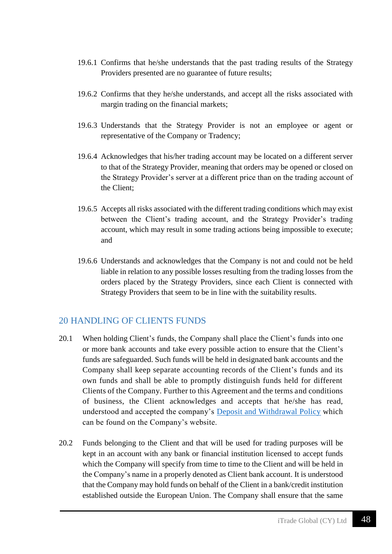- 19.6.1 Confirms that he/she understands that the past trading results of the Strategy Providers presented are no guarantee of future results;
- 19.6.2 Confirms that they he/she understands, and accept all the risks associated with margin trading on the financial markets;
- 19.6.3 Understands that the Strategy Provider is not an employee or agent or representative of the Company or Tradency;
- 19.6.4 Acknowledges that his/her trading account may be located on a different server to that of the Strategy Provider, meaning that orders may be opened or closed on the Strategy Provider's server at a different price than on the trading account of the Client;
- 19.6.5 Accepts all risks associated with the different trading conditions which may exist between the Client's trading account, and the Strategy Provider's trading account, which may result in some trading actions being impossible to execute; and
- 19.6.6 Understands and acknowledges that the Company is not and could not be held liable in relation to any possible losses resulting from the trading losses from the orders placed by the Strategy Providers, since each Client is connected with Strategy Providers that seem to be in line with the suitability results.

#### 20 HANDLING OF CLIENTS FUNDS

- 20.1 When holding Client's funds, the Company shall place the Client's funds into one or more bank accounts and take every possible action to ensure that the Client's funds are safeguarded. Such funds will be held in designated bank accounts and the Company shall keep separate accounting records of the Client's funds and its own funds and shall be able to promptly distinguish funds held for different Clients of the Company. Further to this Agreement and the terms and conditions of business, the Client acknowledges and accepts that he/she has read, understood and accepted the company's [Deposit and Withdrawal Policy](https://www.tradefw.com/wp-content/uploads/iTrade-Deposit_Withdrawal_Policy.pdf) which can be found on the Company's website.
- 20.2 Funds belonging to the Client and that will be used for trading purposes will be kept in an account with any bank or financial institution licensed to accept funds which the Company will specify from time to time to the Client and will be held in the Company's name in a properly denoted as Client bank account. It is understood that the Company may hold funds on behalf of the Client in a bank/credit institution established outside the European Union. The Company shall ensure that the same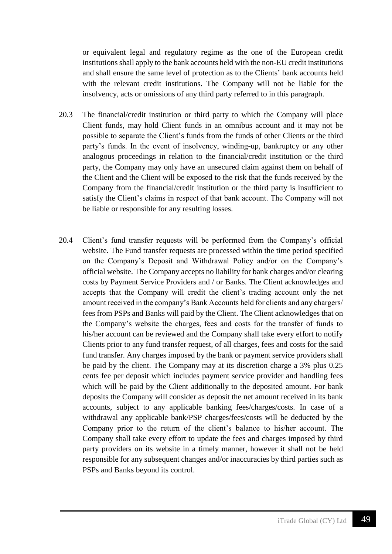or equivalent legal and regulatory regime as the one of the European credit institutions shall apply to the bank accounts held with the non-EU credit institutions and shall ensure the same level of protection as to the Clients' bank accounts held with the relevant credit institutions. The Company will not be liable for the insolvency, acts or omissions of any third party referred to in this paragraph.

- 20.3 The financial/credit institution or third party to which the Company will place Client funds, may hold Client funds in an omnibus account and it may not be possible to separate the Client's funds from the funds of other Clients or the third party's funds. In the event of insolvency, winding-up, bankruptcy or any other analogous proceedings in relation to the financial/credit institution or the third party, the Company may only have an unsecured claim against them on behalf of the Client and the Client will be exposed to the risk that the funds received by the Company from the financial/credit institution or the third party is insufficient to satisfy the Client's claims in respect of that bank account. The Company will not be liable or responsible for any resulting losses.
- 20.4 Client's fund transfer requests will be performed from the Company's official website. The Fund transfer requests are processed within the time period specified on the Company's Deposit and Withdrawal Policy and/or on the Company's official website. The Company accepts no liability for bank charges and/or clearing costs by Payment Service Providers and / or Banks. The Client acknowledges and accepts that the Company will credit the client's trading account only the net amount received in the company's Bank Accounts held for clients and any chargers/ fees from PSPs and Banks will paid by the Client. The Client acknowledges that on the Company's website the charges, fees and costs for the transfer of funds to his/her account can be reviewed and the Company shall take every effort to notify Clients prior to any fund transfer request, of all charges, fees and costs for the said fund transfer. Any charges imposed by the bank or payment service providers shall be paid by the client. The Company may at its discretion charge a 3% plus 0.25 cents fee per deposit which includes payment service provider and handling fees which will be paid by the Client additionally to the deposited amount. For bank deposits the Company will consider as deposit the net amount received in its bank accounts, subject to any applicable banking fees/charges/costs. In case of a withdrawal any applicable bank/PSP charges/fees/costs will be deducted by the Company prior to the return of the client's balance to his/her account. The Company shall take every effort to update the fees and charges imposed by third party providers on its website in a timely manner, however it shall not be held responsible for any subsequent changes and/or inaccuracies by third parties such as PSPs and Banks beyond its control.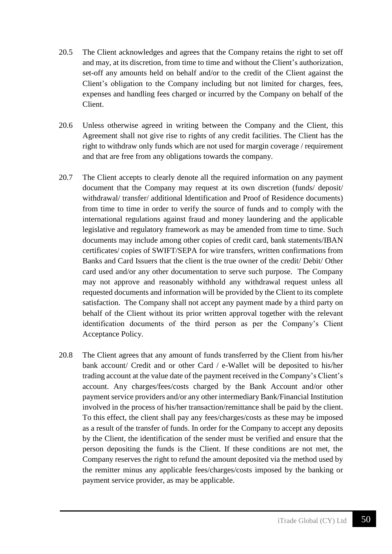- 20.5 The Client acknowledges and agrees that the Company retains the right to set off and may, at its discretion, from time to time and without the Client's authorization, set-off any amounts held on behalf and/or to the credit of the Client against the Client's obligation to the Company including but not limited for charges, fees, expenses and handling fees charged or incurred by the Company on behalf of the Client.
- 20.6 Unless otherwise agreed in writing between the Company and the Client, this Agreement shall not give rise to rights of any credit facilities. The Client has the right to withdraw only funds which are not used for margin coverage / requirement and that are free from any obligations towards the company.
- 20.7 The Client accepts to clearly denote all the required information on any payment document that the Company may request at its own discretion (funds/ deposit/ withdrawal/ transfer/ additional Identification and Proof of Residence documents) from time to time in order to verify the source of funds and to comply with the international regulations against fraud and money laundering and the applicable legislative and regulatory framework as may be amended from time to time. Such documents may include among other copies of credit card, bank statements/IBAN certificates/ copies of SWIFT/SEPA for wire transfers, written confirmations from Banks and Card Issuers that the client is the true owner of the credit/ Debit/ Other card used and/or any other documentation to serve such purpose. The Company may not approve and reasonably withhold any withdrawal request unless all requested documents and information will be provided by the Client to its complete satisfaction. The Company shall not accept any payment made by a third party on behalf of the Client without its prior written approval together with the relevant identification documents of the third person as per the Company's Client Acceptance Policy.
- 20.8 The Client agrees that any amount of funds transferred by the Client from his/her bank account/ Credit and or other Card / e-Wallet will be deposited to his/her trading account at the value date of the payment received in the Company's Client's account. Any charges/fees/costs charged by the Bank Account and/or other payment service providers and/or any other intermediary Bank/Financial Institution involved in the process of his/her transaction/remittance shall be paid by the client. To this effect, the client shall pay any fees/charges/costs as these may be imposed as a result of the transfer of funds. In order for the Company to accept any deposits by the Client, the identification of the sender must be verified and ensure that the person depositing the funds is the Client. If these conditions are not met, the Company reserves the right to refund the amount deposited via the method used by the remitter minus any applicable fees/charges/costs imposed by the banking or payment service provider, as may be applicable.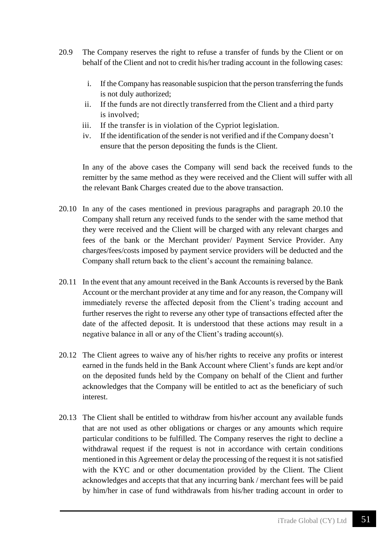- 20.9 The Company reserves the right to refuse a transfer of funds by the Client or on behalf of the Client and not to credit his/her trading account in the following cases:
	- i. If the Company has reasonable suspicion that the person transferring the funds is not duly authorized;
	- ii. If the funds are not directly transferred from the Client and a third party is involved;
	- iii. If the transfer is in violation of the Cypriot legislation.
	- iv. If the identification of the sender is not verified and if the Company doesn't ensure that the person depositing the funds is the Client.

In any of the above cases the Company will send back the received funds to the remitter by the same method as they were received and the Client will suffer with all the relevant Bank Charges created due to the above transaction.

- 20.10 In any of the cases mentioned in previous paragraphs and paragraph 20.10 the Company shall return any received funds to the sender with the same method that they were received and the Client will be charged with any relevant charges and fees of the bank or the Merchant provider/ Payment Service Provider. Any charges/fees/costs imposed by payment service providers will be deducted and the Company shall return back to the client's account the remaining balance.
- 20.11 In the event that any amount received in the Bank Accounts is reversed by the Bank Account or the merchant provider at any time and for any reason, the Company will immediately reverse the affected deposit from the Client's trading account and further reserves the right to reverse any other type of transactions effected after the date of the affected deposit. It is understood that these actions may result in a negative balance in all or any of the Client's trading account(s).
- 20.12 The Client agrees to waive any of his/her rights to receive any profits or interest earned in the funds held in the Bank Account where Client's funds are kept and/or on the deposited funds held by the Company on behalf of the Client and further acknowledges that the Company will be entitled to act as the beneficiary of such interest.
- 20.13 The Client shall be entitled to withdraw from his/her account any available funds that are not used as other obligations or charges or any amounts which require particular conditions to be fulfilled. The Company reserves the right to decline a withdrawal request if the request is not in accordance with certain conditions mentioned in this Agreement or delay the processing of the request it is not satisfied with the KYC and or other documentation provided by the Client. The Client acknowledges and accepts that that any incurring bank / merchant fees will be paid by him/her in case of fund withdrawals from his/her trading account in order to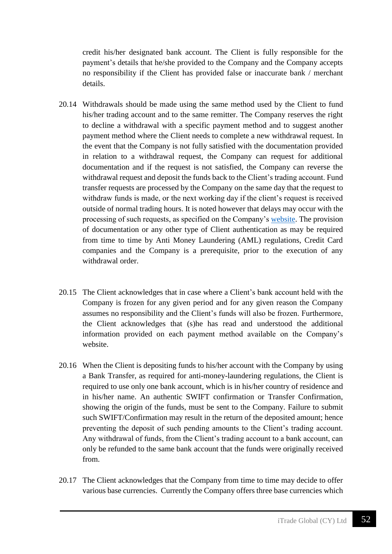credit his/her designated bank account. The Client is fully responsible for the payment's details that he/she provided to the Company and the Company accepts no responsibility if the Client has provided false or inaccurate bank / merchant details.

- 20.14 Withdrawals should be made using the same method used by the Client to fund his/her trading account and to the same remitter. The Company reserves the right to decline a withdrawal with a specific payment method and to suggest another payment method where the Client needs to complete a new withdrawal request. In the event that the Company is not fully satisfied with the documentation provided in relation to a withdrawal request, the Company can request for additional documentation and if the request is not satisfied, the Company can reverse the withdrawal request and deposit the funds back to the Client's trading account. Fund transfer requests are processed by the Company on the same day that the request to withdraw funds is made, or the next working day if the client's request is received outside of normal trading hours. It is noted however that delays may occur with the processing of such requests, as specified on the Company's [website.](https://www.tradefw.com/payment-methods/) The provision of documentation or any other type of Client authentication as may be required from time to time by Anti Money Laundering (AML) regulations, Credit Card companies and the Company is a prerequisite, prior to the execution of any withdrawal order
- 20.15 The Client acknowledges that in case where a Client's bank account held with the Company is frozen for any given period and for any given reason the Company assumes no responsibility and the Client's funds will also be frozen. Furthermore, the Client acknowledges that (s)he has read and understood the additional information provided on each payment method available on the Company's website.
- 20.16 When the Client is depositing funds to his/her account with the Company by using a Bank Transfer, as required for anti-money-laundering regulations, the Client is required to use only one bank account, which is in his/her country of residence and in his/her name. An authentic SWIFT confirmation or Transfer Confirmation, showing the origin of the funds, must be sent to the Company. Failure to submit such SWIFT/Confirmation may result in the return of the deposited amount; hence preventing the deposit of such pending amounts to the Client's trading account. Any withdrawal of funds, from the Client's trading account to a bank account, can only be refunded to the same bank account that the funds were originally received from.
- 20.17 The Client acknowledges that the Company from time to time may decide to offer various base currencies. Currently the Company offers three base currencies which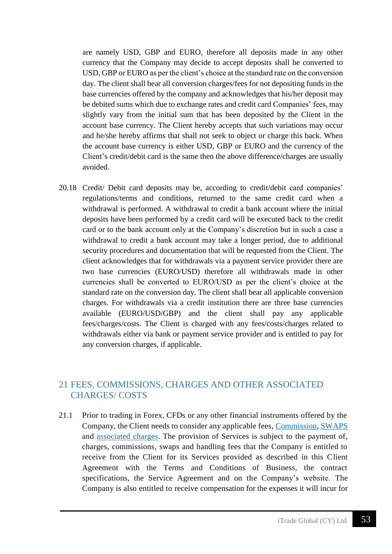are namely USD, GBP and EURO, therefore all deposits made in any other currency that the Company may decide to accept deposits shall be converted to USD, GBP or EURO as per the client's choice at the standard rate on the conversion day. The client shall bear all conversion charges/fees for not depositing funds in the base currencies offered by the company and acknowledges that his/her deposit may be debited sums which due to exchange rates and credit card Companies' fees, may slightly vary from the initial sum that has been deposited by the Client in the account base currency. The Client hereby accepts that such variations may occur and he/she hereby affirms that shall not seek to object or charge this back. When the account base currency is either USD, GBP or EURO and the currency of the Client's credit/debit card is the same then the above difference/charges are usually avoided.

20.18 Credit/ Debit card deposits may be, according to credit/debit card companies' regulations/terms and conditions, returned to the same credit card when a withdrawal is performed. A withdrawal to credit a bank account where the initial deposits have been performed by a credit card will be executed back to the credit card or to the bank account only at the Company's discretion but in such a case a withdrawal to credit a bank account may take a longer period, due to additional security procedures and documentation that will be requested from the Client. The client acknowledges that for withdrawals via a payment service provider there are two base currencies (EURO/USD) therefore all withdrawals made in other currencies shall be converted to EURO/USD as per the client's choice at the standard rate on the conversion day. The client shall bear all applicable conversion charges. For withdrawals via a credit institution there are three base currencies available (EURO/USD/GBP) and the client shall pay any applicable fees/charges/costs. The Client is charged with any fees/costs/charges related to withdrawals either via bank or payment service provider and is entitled to pay for any conversion charges, if applicable.

### 21 FEES, COMMISSIONS, CHARGES AND OTHER ASSOCIATED CHARGES/ COSTS

21.1 Prior to trading in Forex, CFDs or any other financial instruments offered by the Company, the Client needs to consider any applicable fees, [Commission, SWAPS](https://www.tradefw.com/account-types/) and [associated charges.](https://www.tradefw.com/account-types/) The provision of Services is subject to the payment of, charges, commissions, swaps and handling fees that the Company is entitled to receive from the Client for its Services provided as described in this Client Agreement with the Terms and Conditions of Business, the contract specifications, the Service Agreement and on the Company's website. The Company is also entitled to receive compensation for the expenses it will incur for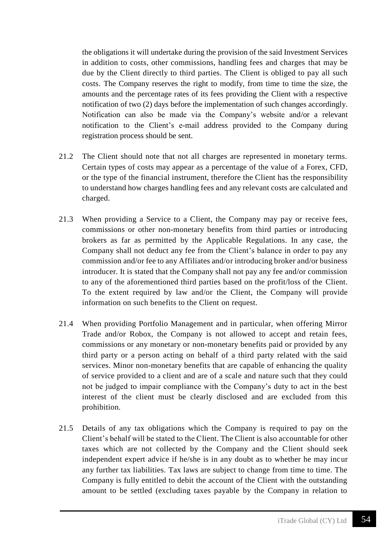the obligations it will undertake during the provision of the said Investment Services in addition to costs, other commissions, handling fees and charges that may be due by the Client directly to third parties. The Client is obliged to pay all such costs. The Company reserves the right to modify, from time to time the size, the amounts and the percentage rates of its fees providing the Client with a respective notification of two (2) days before the implementation of such changes accordingly. Notification can also be made via the Company's website and/or a relevant notification to the Client's e-mail address provided to the Company during registration process should be sent.

- 21.2 The Client should note that not all charges are represented in monetary terms. Certain types of costs may appear as a percentage of the value of a Forex, CFD, or the type of the financial instrument, therefore the Client has the responsibility to understand how charges handling fees and any relevant costs are calculated and charged.
- 21.3 When providing a Service to a Client, the Company may pay or receive fees, commissions or other non-monetary benefits from third parties or introducing brokers as far as permitted by the Applicable Regulations. In any case, the Company shall not deduct any fee from the Client's balance in order to pay any commission and/or fee to any Affiliates and/or introducing broker and/or business introducer. It is stated that the Company shall not pay any fee and/or commission to any of the aforementioned third parties based on the profit/loss of the Client. To the extent required by law and/or the Client, the Company will provide information on such benefits to the Client on request.
- 21.4 When providing Portfolio Management and in particular, when offering Mirror Trade and/or Robox, the Company is not allowed to accept and retain fees, commissions or any monetary or non-monetary benefits paid or provided by any third party or a person acting on behalf of a third party related with the said services. Minor non-monetary benefits that are capable of enhancing the quality of service provided to a client and are of a scale and nature such that they could not be judged to impair compliance with the Company's duty to act in the best interest of the client must be clearly disclosed and are excluded from this prohibition.
- 21.5 Details of any tax obligations which the Company is required to pay on the Client's behalf will be stated to the Client. The Client is also accountable for other taxes which are not collected by the Company and the Client should seek independent expert advice if he/she is in any doubt as to whether he may incur any further tax liabilities. Tax laws are subject to change from time to time. The Company is fully entitled to debit the account of the Client with the outstanding amount to be settled (excluding taxes payable by the Company in relation to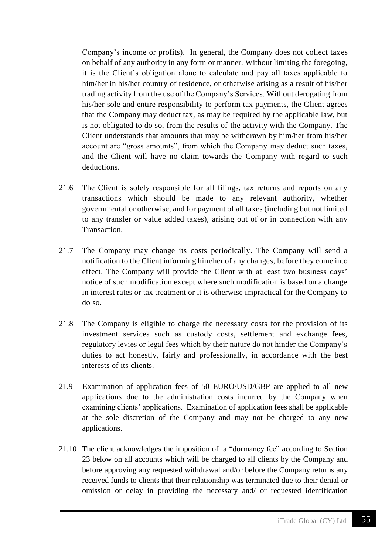Company's income or profits). In general, the Company does not collect taxes on behalf of any authority in any form or manner. Without limiting the foregoing, it is the Client's obligation alone to calculate and pay all taxes applicable to him/her in his/her country of residence, or otherwise arising as a result of his/her trading activity from the use of the Company's Services. Without derogating from his/her sole and entire responsibility to perform tax payments, the Client agrees that the Company may deduct tax, as may be required by the applicable law, but is not obligated to do so, from the results of the activity with the Company. The Client understands that amounts that may be withdrawn by him/her from his/her account are "gross amounts", from which the Company may deduct such taxes, and the Client will have no claim towards the Company with regard to such deductions.

- 21.6 The Client is solely responsible for all filings, tax returns and reports on any transactions which should be made to any relevant authority, whether governmental or otherwise, and for payment of all taxes (including but not limited to any transfer or value added taxes), arising out of or in connection with any Transaction.
- 21.7 The Company may change its costs periodically. The Company will send a notification to the Client informing him/her of any changes, before they come into effect. The Company will provide the Client with at least two business days' notice of such modification except where such modification is based on a change in interest rates or tax treatment or it is otherwise impractical for the Company to do so.
- 21.8 The Company is eligible to charge the necessary costs for the provision of its investment services such as custody costs, settlement and exchange fees, regulatory levies or legal fees which by their nature do not hinder the Company's duties to act honestly, fairly and professionally, in accordance with the best interests of its clients.
- 21.9 Examination of application fees of 50 EURO/USD/GBP are applied to all new applications due to the administration costs incurred by the Company when examining clients' applications. Examination of application fees shall be applicable at the sole discretion of the Company and may not be charged to any new applications.
- 21.10 The client acknowledges the imposition of a "dormancy fee" according to Section 23 below on all accounts which will be charged to all clients by the Company and before approving any requested withdrawal and/or before the Company returns any received funds to clients that their relationship was terminated due to their denial or omission or delay in providing the necessary and/ or requested identification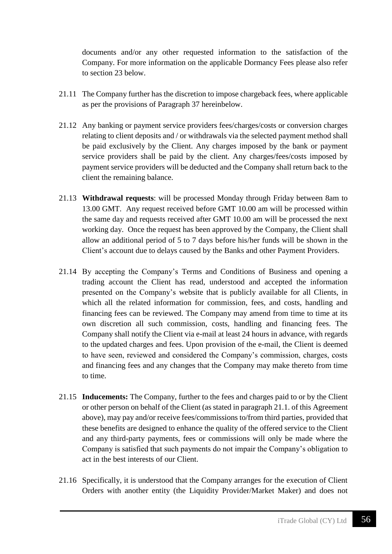documents and/or any other requested information to the satisfaction of the Company. For more information on the applicable Dormancy Fees please also refer to section 23 below.

- 21.11 The Company further has the discretion to impose chargeback fees, where applicable as per the provisions of Paragraph 37 hereinbelow.
- 21.12 Any banking or payment service providers fees/charges/costs or conversion charges relating to client deposits and / or withdrawals via the selected payment method shall be paid exclusively by the Client. Any charges imposed by the bank or payment service providers shall be paid by the client. Any charges/fees/costs imposed by payment service providers will be deducted and the Company shall return back to the client the remaining balance.
- 21.13 **Withdrawal requests**: will be processed Monday through Friday between 8am to 13.00 GMT. Any request received before GMT 10.00 am will be processed within the same day and requests received after GMT 10.00 am will be processed the next working day. Once the request has been approved by the Company, the Client shall allow an additional period of 5 to 7 days before his/her funds will be shown in the Client's account due to delays caused by the Banks and other Payment Providers.
- 21.14 By accepting the Company's Terms and Conditions of Business and opening a trading account the Client has read, understood and accepted the information presented on the Company's website that is publicly available for all Clients, in which all the related information for commission, fees, and costs, handling and financing fees can be reviewed. The Company may amend from time to time at its own discretion all such commission, costs, handling and financing fees. The Company shall notify the Client via e-mail at least 24 hours in advance, with regards to the updated charges and fees. Upon provision of the e-mail, the Client is deemed to have seen, reviewed and considered the Company's commission, charges, costs and financing fees and any changes that the Company may make thereto from time to time.
- 21.15 **Inducements:** The Company, further to the fees and charges paid to or by the Client or other person on behalf of the Client (as stated in paragraph 21.1. of this Agreement above), may pay and/or receive fees/commissions to/from third parties, provided that these benefits are designed to enhance the quality of the offered service to the Client and any third-party payments, fees or commissions will only be made where the Company is satisfied that such payments do not impair the Company's obligation to act in the best interests of our Client.
- 21.16 Specifically, it is understood that the Company arranges for the execution of Client Orders with another entity (the Liquidity Provider/Market Maker) and does not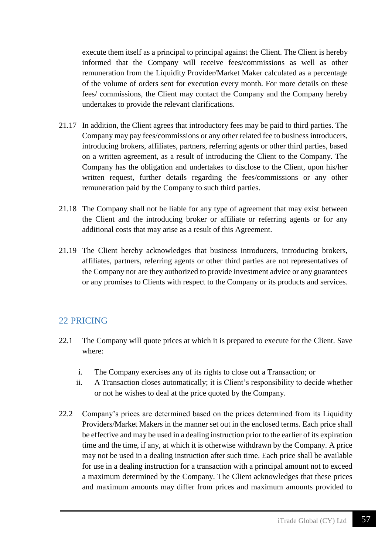execute them itself as a principal to principal against the Client. The Client is hereby informed that the Company will receive fees/commissions as well as other remuneration from the Liquidity Provider/Market Maker calculated as a percentage of the volume of orders sent for execution every month. For more details on these fees/ commissions, the Client may contact the Company and the Company hereby undertakes to provide the relevant clarifications.

- 21.17 In addition, the Client agrees that introductory fees may be paid to third parties. The Company may pay fees/commissions or any other related fee to business introducers, introducing brokers, affiliates, partners, referring agents or other third parties, based on a written agreement, as a result of introducing the Client to the Company. The Company has the obligation and undertakes to disclose to the Client, upon his/her written request, further details regarding the fees/commissions or any other remuneration paid by the Company to such third parties.
- 21.18 The Company shall not be liable for any type of agreement that may exist between the Client and the introducing broker or affiliate or referring agents or for any additional costs that may arise as a result of this Agreement.
- 21.19 The Client hereby acknowledges that business introducers, introducing brokers, affiliates, partners, referring agents or other third parties are not representatives of the Company nor are they authorized to provide investment advice or any guarantees or any promises to Clients with respect to the Company or its products and services.

### 22 PRICING

- 22.1 The Company will quote prices at which it is prepared to execute for the Client. Save where:
	- i. The Company exercises any of its rights to close out a Transaction; or
	- ii. A Transaction closes automatically; it is Client's responsibility to decide whether or not he wishes to deal at the price quoted by the Company.
- 22.2 Company's prices are determined based on the prices determined from its Liquidity Providers/Market Makers in the manner set out in the enclosed terms. Each price shall be effective and may be used in a dealing instruction prior to the earlier of its expiration time and the time, if any, at which it is otherwise withdrawn by the Company. A price may not be used in a dealing instruction after such time. Each price shall be available for use in a dealing instruction for a transaction with a principal amount not to exceed a maximum determined by the Company. The Client acknowledges that these prices and maximum amounts may differ from prices and maximum amounts provided to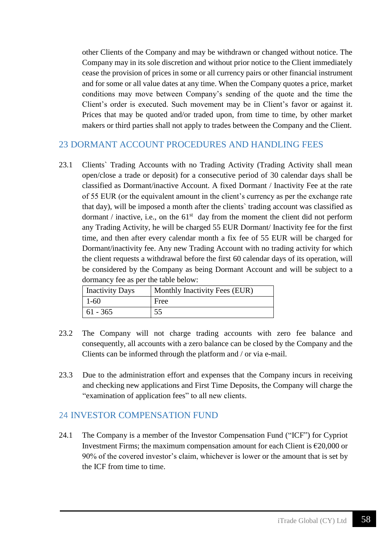other Clients of the Company and may be withdrawn or changed without notice. The Company may in its sole discretion and without prior notice to the Client immediately cease the provision of prices in some or all currency pairs or other financial instrument and for some or all value dates at any time. When the Company quotes a price, market conditions may move between Company's sending of the quote and the time the Client's order is executed. Such movement may be in Client's favor or against it. Prices that may be quoted and/or traded upon, from time to time, by other market makers or third parties shall not apply to trades between the Company and the Client.

# 23 DORMANT ACCOUNT PROCEDURES AND HANDLING FEES

23.1 Clients` Trading Accounts with no Trading Activity (Trading Activity shall mean open/close a trade or deposit) for a consecutive period of 30 calendar days shall be classified as Dormant/inactive Account. A fixed Dormant / Inactivity Fee at the rate of 55 EUR (or the equivalent amount in the client's currency as per the exchange rate that day), will be imposed a month after the clients` trading account was classified as dormant / inactive, i.e., on the  $61<sup>st</sup>$  day from the moment the client did not perform any Trading Activity, he will be charged 55 EUR Dormant/ Inactivity fee for the first time, and then after every calendar month a fix fee of 55 EUR will be charged for Dormant/inactivity fee. Any new Trading Account with no trading activity for which the client requests a withdrawal before the first 60 calendar days of its operation, will be considered by the Company as being Dormant Account and will be subject to a dormancy fee as per the table below:

| <b>Inactivity Days</b> | Monthly Inactivity Fees (EUR) |
|------------------------|-------------------------------|
| $1-60$                 | Free                          |
| $61 - 365$             |                               |

- 23.2 The Company will not charge trading accounts with zero fee balance and consequently, all accounts with a zero balance can be closed by the Company and the Clients can be informed through the platform and / or via e-mail.
- 23.3 Due to the administration effort and expenses that the Company incurs in receiving and checking new applications and First Time Deposits, the Company will charge the "examination of application fees" to all new clients.

#### 24 INVESTOR COMPENSATION FUND

24.1 The Company is a member of the Investor Compensation Fund ("ICF") for Cypriot Investment Firms; the maximum compensation amount for each Client is  $\epsilon$ 20,000 or 90% of the covered investor's claim, whichever is lower or the amount that is set by the ICF from time to time.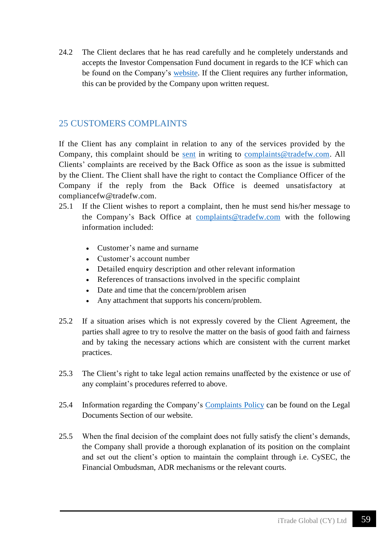24.2 The Client declares that he has read carefully and he completely understands and accepts the Investor Compensation Fund document in regards to the ICF which can be found on the Company's [website.](https://www.tradefw.com/wp-content/uploads/iTrade_Global_Investor_Compensation_Fund.pdf) If the Client requires any further information, this can be provided by the Company upon written request.

### 25 CUSTOMERS COMPLAINTS

If the Client has any complaint in relation to any of the services provided by the Company, this complaint should be [sent](mailto:complaints@tradefw.com) in writing to [complaints@tradefw.com.](mailto:complaints@tradefw.com) All Clients' complaints are received by the Back Office as soon as the issue is submitted by the Client. The Client shall have the right to contact the Compliance Officer of the Company if the reply from the Back Office is deemed unsatisfactory at compliancefw@tradefw.com.

- 25.1 If the Client wishes to report a complaint, then he must send his/her message to the Company's Back Office at [complaints@tradefw.com](mailto:complaints@tradefw.com) with the following information included:
	- Customer's name and surname
	- Customer's account number
	- Detailed enquiry description and other relevant information
	- References of transactions involved in the specific complaint
	- Date and time that the concern/problem arisen
	- Any attachment that supports his concern/problem.
- 25.2 If a situation arises which is not expressly covered by the Client Agreement, the parties shall agree to try to resolve the matter on the basis of good faith and fairness and by taking the necessary actions which are consistent with the current market practices.
- 25.3 The Client's right to take legal action remains unaffected by the existence or use of any complaint's procedures referred to above.
- 25.4 Information regarding the Company's [Complaints Policy](https://www.tradefw.com/wp-content/uploads/iTrade_Global_Complaint_Handling_Policy.pdf) can be found on the Legal Documents Section of our website.
- 25.5 When the final decision of the complaint does not fully satisfy the client's demands, the Company shall provide a thorough explanation of its position on the complaint and set out the client's option to maintain the complaint through i.e. CySEC, the Financial Ombudsman, ADR mechanisms or the relevant courts.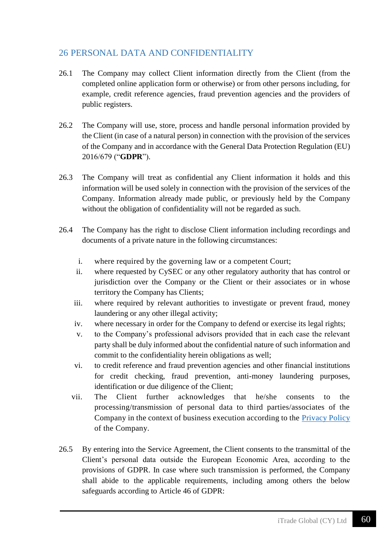# 26 PERSONAL DATA AND CONFIDENTIALITY

- 26.1 The Company may collect Client information directly from the Client (from the completed online application form or otherwise) or from other persons including, for example, credit reference agencies, fraud prevention agencies and the providers of public registers.
- 26.2 The Company will use, store, process and handle personal information provided by the Client (in case of a natural person) in connection with the provision of the services of the Company and in accordance with the General Data Protection Regulation (EU) 2016/679 ("**GDPR**").
- 26.3 The Company will treat as confidential any Client information it holds and this information will be used solely in connection with the provision of the services of the Company. Information already made public, or previously held by the Company without the obligation of confidentiality will not be regarded as such.
- 26.4 The Company has the right to disclose Client information including recordings and documents of a private nature in the following circumstances:
	- i. where required by the governing law or a competent Court;
	- ii. where requested by CySEC or any other regulatory authority that has control or jurisdiction over the Company or the Client or their associates or in whose territory the Company has Clients;
	- iii. where required by relevant authorities to investigate or prevent fraud, money laundering or any other illegal activity;
	- iv. where necessary in order for the Company to defend or exercise its legal rights;
	- v. to the Company's professional advisors provided that in each case the relevant party shall be duly informed about the confidential nature of such information and commit to the confidentiality herein obligations as well;
	- vi. to credit reference and fraud prevention agencies and other financial institutions for credit checking, fraud prevention, anti-money laundering purposes, identification or due diligence of the Client;
	- vii. The Client further acknowledges that he/she consents to the processing/transmission of personal data to third parties/associates of the Company in the context of business execution according to the [Privacy Policy](https://www.tradefw.com/wp-content/uploads/iTrade-Global__Privacy_Policy.pdf) of the Company.
- 26.5 By entering into the Service Agreement, the Client consents to the transmittal of the Client's personal data outside the European Economic Area, according to the provisions of GDPR. In case where such transmission is performed, the Company shall abide to the applicable requirements, including among others the below safeguards according to Article 46 of GDPR: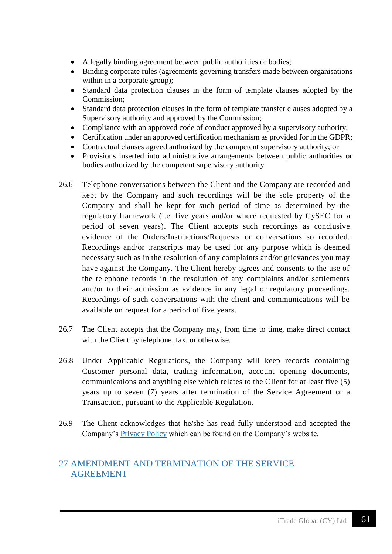- A legally binding agreement between public authorities or bodies;
- Binding corporate rules (agreements governing transfers made between organisations within in a corporate group);
- Standard data protection clauses in the form of template clauses adopted by the Commission;
- Standard data protection clauses in the form of template transfer clauses adopted by a Supervisory authority and approved by the Commission;
- Compliance with an approved code of conduct approved by a supervisory authority;
- Certification under an approved certification mechanism as provided for in the GDPR;
- Contractual clauses agreed authorized by the competent supervisory authority; or
- Provisions inserted into administrative arrangements between public authorities or bodies authorized by the competent supervisory authority.
- 26.6 Telephone conversations between the Client and the Company are recorded and kept by the Company and such recordings will be the sole property of the Company and shall be kept for such period of time as determined by the regulatory framework (i.e. five years and/or where requested by CySEC for a period of seven years). The Client accepts such recordings as conclusive evidence of the Orders/Instructions/Requests or conversations so recorded. Recordings and/or transcripts may be used for any purpose which is deemed necessary such as in the resolution of any complaints and/or grievances you may have against the Company. The Client hereby agrees and consents to the use of the telephone records in the resolution of any complaints and/or settlements and/or to their admission as evidence in any legal or regulatory proceedings. Recordings of such conversations with the client and communications will be available on request for a period of five years.
- 26.7 The Client accepts that the Company may, from time to time, make direct contact with the Client by telephone, fax, or otherwise.
- 26.8 Under Applicable Regulations, the Company will keep records containing Customer personal data, trading information, account opening documents, communications and anything else which relates to the Client for at least five (5) years up to seven (7) years after termination of the Service Agreement or a Transaction, pursuant to the Applicable Regulation.
- 26.9 The Client acknowledges that he/she has read fully understood and accepted the Company's [Privacy Policy](https://www.tradefw.com/wp-content/uploads/iTrade-Global__Privacy_Policy.pdf) which can be found on the Company's website.

## 27 AMENDMENT AND TERMINATION OF THE SERVICE AGREEMENT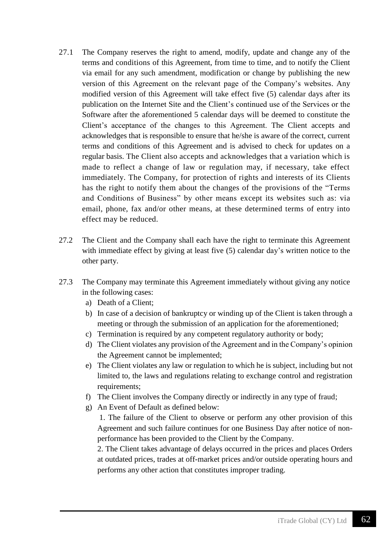- 27.1 The Company reserves the right to amend, modify, update and change any of the terms and conditions of this Agreement, from time to time, and to notify the Client via email for any such amendment, modification or change by publishing the new version of this Agreement on the relevant page of the Company's websites. Any modified version of this Agreement will take effect five (5) calendar days after its publication on the Internet Site and the Client's continued use of the Services or the Software after the aforementioned 5 calendar days will be deemed to constitute the Client's acceptance of the changes to this Agreement. The Client accepts and acknowledges that is responsible to ensure that he/she is aware of the correct, current terms and conditions of this Agreement and is advised to check for updates on a regular basis. The Client also accepts and acknowledges that a variation which is made to reflect a change of law or regulation may, if necessary, take effect immediately. The Company, for protection of rights and interests of its Clients has the right to notify them about the changes of the provisions of the "Terms" and Conditions of Business" by other means except its websites such as: via email, phone, fax and/or other means, at these determined terms of entry into effect may be reduced.
- 27.2 The Client and the Company shall each have the right to terminate this Agreement with immediate effect by giving at least five (5) calendar day's written notice to the other party.
- 27.3 The Company may terminate this Agreement immediately without giving any notice in the following cases:
	- a) Death of a Client;
	- b) In case of a decision of bankruptcy or winding up of the Client is taken through a meeting or through the submission of an application for the aforementioned;
	- c) Termination is required by any competent regulatory authority or body;
	- d) The Client violates any provision of the Agreement and in the Company's opinion the Agreement cannot be implemented;
	- e) The Client violates any law or regulation to which he is subject, including but not limited to, the laws and regulations relating to exchange control and registration requirements:
	- f) The Client involves the Company directly or indirectly in any type of fraud;
	- g) An Event of Default as defined below:

1. The failure of the Client to observe or perform any other provision of this Agreement and such failure continues for one Business Day after notice of nonperformance has been provided to the Client by the Company.

2. The Client takes advantage of delays occurred in the prices and places Orders at outdated prices, trades at off-market prices and/or outside operating hours and performs any other action that constitutes improper trading.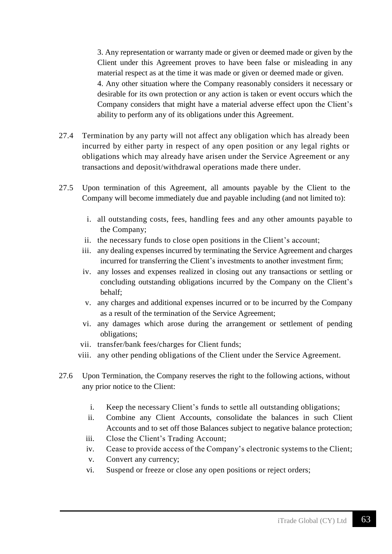3. Any representation or warranty made or given or deemed made or given by the Client under this Agreement proves to have been false or misleading in any material respect as at the time it was made or given or deemed made or given. 4. Any other situation where the Company reasonably considers it necessary or desirable for its own protection or any action is taken or event occurs which the Company considers that might have a material adverse effect upon the Client's ability to perform any of its obligations under this Agreement.

- 27.4 Termination by any party will not affect any obligation which has already been incurred by either party in respect of any open position or any legal rights or obligations which may already have arisen under the Service Agreement or any transactions and deposit/withdrawal operations made there under.
- 27.5 Upon termination of this Agreement, all amounts payable by the Client to the Company will become immediately due and payable including (and not limited to):
	- i. all outstanding costs, fees, handling fees and any other amounts payable to the Company;
	- ii. the necessary funds to close open positions in the Client's account;
	- iii. any dealing expenses incurred by terminating the Service Agreement and charges incurred for transferring the Client's investments to another investment firm;
	- iv. any losses and expenses realized in closing out any transactions or settling or concluding outstanding obligations incurred by the Company on the Client's behalf;
	- v. any charges and additional expenses incurred or to be incurred by the Company as a result of the termination of the Service Agreement;
	- vi. any damages which arose during the arrangement or settlement of pending obligations;
	- vii. transfer/bank fees/charges for Client funds;
	- viii. any other pending obligations of the Client under the Service Agreement.
- 27.6 Upon Termination, the Company reserves the right to the following actions, without any prior notice to the Client:
	- i. Keep the necessary Client's funds to settle all outstanding obligations;
	- ii. Combine any Client Accounts, consolidate the balances in such Client Accounts and to set off those Balances subject to negative balance protection;
	- iii. Close the Client's Trading Account;
	- iv. Cease to provide access of the Company's electronic systems to the Client;
	- v. Convert any currency;
	- vi. Suspend or freeze or close any open positions or reject orders;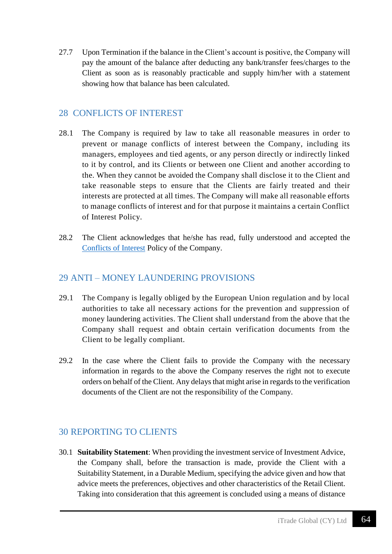27.7 Upon Termination if the balance in the Client's account is positive, the Company will pay the amount of the balance after deducting any bank/transfer fees/charges to the Client as soon as is reasonably practicable and supply him/her with a statement showing how that balance has been calculated.

### 28 CONFLICTS OF INTEREST

- 28.1 The Company is required by law to take all reasonable measures in order to prevent or manage conflicts of interest between the Company, including its managers, employees and tied agents, or any person directly or indirectly linked to it by control, and its Clients or between one Client and another according to the. When they cannot be avoided the Company shall disclose it to the Client and take reasonable steps to ensure that the Clients are fairly treated and their interests are protected at all times. The Company will make all reasonable efforts to manage conflicts of interest and for that purpose it maintains a certain Conflict of Interest Policy.
- 28.2 The Client acknowledges that he/she has read, fully understood and accepted the [Conflicts of Interest](https://www.tradefw.com/wp-content/uploads/iTrade_Global_Conflict_of_Interest_Policy.pdf) Policy of the Company.

# 29 ANTI – MONEY LAUNDERING PROVISIONS

- 29.1 The Company is legally obliged by the European Union regulation and by local authorities to take all necessary actions for the prevention and suppression of money laundering activities. The Client shall understand from the above that the Company shall request and obtain certain verification documents from the Client to be legally compliant.
- 29.2 In the case where the Client fails to provide the Company with the necessary information in regards to the above the Company reserves the right not to execute orders on behalf of the Client. Any delays that might arise in regards to the verification documents of the Client are not the responsibility of the Company.

### 30 REPORTING TO CLIENTS

30.1 **Suitability Statement**: When providing the investment service of Investment Advice, the Company shall, before the transaction is made, provide the Client with a Suitability Statement, in a Durable Medium, specifying the advice given and how that advice meets the preferences, objectives and other characteristics of the Retail Client. Taking into consideration that this agreement is concluded using a means of distance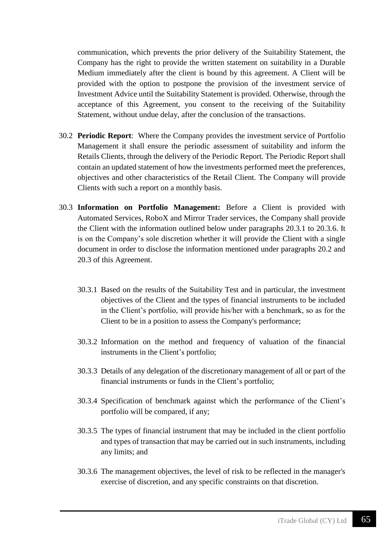communication, which prevents the prior delivery of the Suitability Statement, the Company has the right to provide the written statement on suitability in a Durable Medium immediately after the client is bound by this agreement. A Client will be provided with the option to postpone the provision of the investment service of Investment Advice until the Suitability Statement is provided. Otherwise, through the acceptance of this Agreement, you consent to the receiving of the Suitability Statement, without undue delay, after the conclusion of the transactions.

- 30.2 **Periodic Report**:Where the Company provides the investment service of Portfolio Management it shall ensure the periodic assessment of suitability and inform the Retails Clients, through the delivery of the Periodic Report. The Periodic Report shall contain an updated statement of how the investments performed meet the preferences, objectives and other characteristics of the Retail Client. The Company will provide Clients with such a report on a monthly basis.
- 30.3 **Information on Portfolio Management:** Before a Client is provided with Automated Services, RoboX and Mirror Trader services, the Company shall provide the Client with the information outlined below under paragraphs 20.3.1 to 20.3.6. It is on the Company's sole discretion whether it will provide the Client with a single document in order to disclose the information mentioned under paragraphs 20.2 and 20.3 of this Agreement.
	- 30.3.1 Based on the results of the Suitability Test and in particular, the investment objectives of the Client and the types of financial instruments to be included in the Client's portfolio, will provide his/her with a benchmark, so as for the Client to be in a position to assess the Company's performance;
	- 30.3.2 Information on the method and frequency of valuation of the financial instruments in the Client's portfolio;
	- 30.3.3 Details of any delegation of the discretionary management of all or part of the financial instruments or funds in the Client's portfolio;
	- 30.3.4 Specification of benchmark against which the performance of the Client's portfolio will be compared, if any;
	- 30.3.5 The types of financial instrument that may be included in the client portfolio and types of transaction that may be carried out in such instruments, including any limits; and
	- 30.3.6 The management objectives, the level of risk to be reflected in the manager's exercise of discretion, and any specific constraints on that discretion.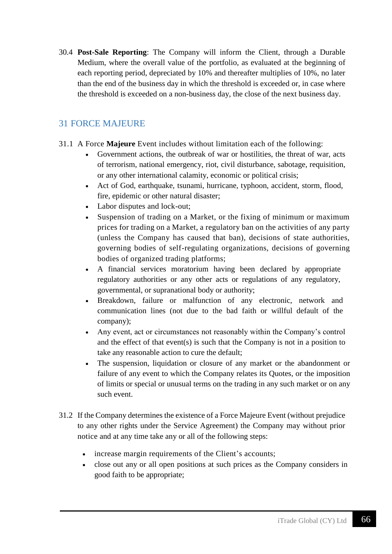30.4 **Post-Sale Reporting**: The Company will inform the Client, through a Durable Medium, where the overall value of the portfolio, as evaluated at the beginning of each reporting period, depreciated by 10% and thereafter multiplies of 10%, no later than the end of the business day in which the threshold is exceeded or, in case where the threshold is exceeded on a non-business day, the close of the next business day.

# 31 FORCE MAJEURE

- 31.1 A Force **Majeure** Event includes without limitation each of the following:
	- Government actions, the outbreak of war or hostilities, the threat of war, acts of terrorism, national emergency, riot, civil disturbance, sabotage, requisition, or any other international calamity, economic or political crisis;
	- Act of God, earthquake, tsunami, hurricane, typhoon, accident, storm, flood, fire, epidemic or other natural disaster;
	- Labor disputes and lock-out;
	- Suspension of trading on a Market, or the fixing of minimum or maximum prices for trading on a Market, a regulatory ban on the activities of any party (unless the Company has caused that ban), decisions of state authorities, governing bodies of self-regulating organizations, decisions of governing bodies of organized trading platforms;
	- A financial services moratorium having been declared by appropriate regulatory authorities or any other acts or regulations of any regulatory, governmental, or supranational body or authority;
	- Breakdown, failure or malfunction of any electronic, network and communication lines (not due to the bad faith or willful default of the company);
	- Any event, act or circumstances not reasonably within the Company's control and the effect of that event(s) is such that the Company is not in a position to take any reasonable action to cure the default;
	- The suspension, liquidation or closure of any market or the abandonment or failure of any event to which the Company relates its Quotes, or the imposition of limits or special or unusual terms on the trading in any such market or on any such event.
- 31.2 If the Company determines the existence of a Force Majeure Event (without prejudice to any other rights under the Service Agreement) the Company may without prior notice and at any time take any or all of the following steps:
	- increase margin requirements of the Client's accounts;
	- close out any or all open positions at such prices as the Company considers in good faith to be appropriate;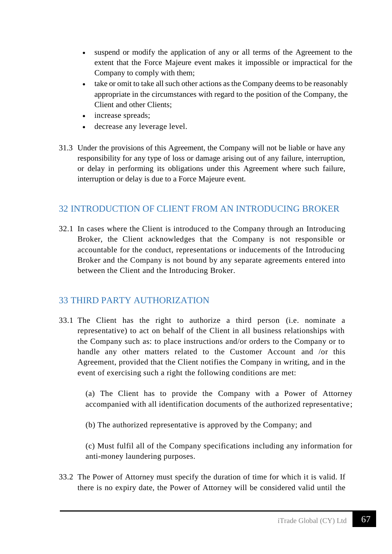- suspend or modify the application of any or all terms of the Agreement to the extent that the Force Majeure event makes it impossible or impractical for the Company to comply with them;
- take or omit to take all such other actions as the Company deems to be reasonably appropriate in the circumstances with regard to the position of the Company, the Client and other Clients;
- increase spreads:
- decrease any leverage level.
- 31.3 Under the provisions of this Agreement, the Company will not be liable or have any responsibility for any type of loss or damage arising out of any failure, interruption, or delay in performing its obligations under this Agreement where such failure, interruption or delay is due to a Force Majeure event.

# 32 INTRODUCTION OF CLIENT FROM AN INTRODUCING BROKER

32.1 In cases where the Client is introduced to the Company through an Introducing Broker, the Client acknowledges that the Company is not responsible or accountable for the conduct, representations or inducements of the Introducing Broker and the Company is not bound by any separate agreements entered into between the Client and the Introducing Broker.

### 33 THIRD PARTY AUTHORIZATION

33.1 The Client has the right to authorize a third person (i.e. nominate a representative) to act on behalf of the Client in all business relationships with the Company such as: to place instructions and/or orders to the Company or to handle any other matters related to the Customer Account and /or this Agreement, provided that the Client notifies the Company in writing, and in the event of exercising such a right the following conditions are met:

(a) The Client has to provide the Company with a Power of Attorney accompanied with all identification documents of the authorized representative;

(b) The authorized representative is approved by the Company; and

(c) Must fulfil all of the Company specifications including any information for anti-money laundering purposes.

33.2 The Power of Attorney must specify the duration of time for which it is valid. If there is no expiry date, the Power of Attorney will be considered valid until the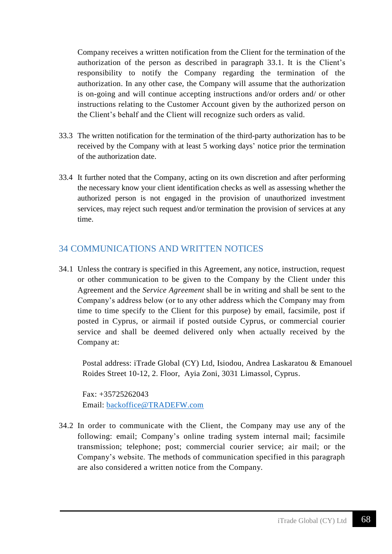Company receives a written notification from the Client for the termination of the authorization of the person as described in paragraph 33.1. It is the Client's responsibility to notify the Company regarding the termination of the authorization. In any other case, the Company will assume that the authorization is on-going and will continue accepting instructions and/or orders and/ or other instructions relating to the Customer Account given by the authorized person on the Client's behalf and the Client will recognize such orders as valid.

- 33.3 The written notification for the termination of the third-party authorization has to be received by the Company with at least 5 working days' notice prior the termination of the authorization date.
- 33.4 It further noted that the Company, acting on its own discretion and after performing the necessary know your client identification checks as well as assessing whether the authorized person is not engaged in the provision of unauthorized investment services, may reject such request and/or termination the provision of services at any time.

# 34 COMMUNICATIONS AND WRITTEN NOTICES

34.1 Unless the contrary is specified in this Agreement, any notice, instruction, request or other communication to be given to the Company by the Client under this Agreement and the *Service Agreement* shall be in writing and shall be sent to the Company's address below (or to any other address which the Company may from time to time specify to the Client for this purpose) by email, facsimile, post if posted in Cyprus, or airmail if posted outside Cyprus, or commercial courier service and shall be deemed delivered only when actually received by the Company at:

Postal address: iTrade Global (CY) Ltd, Isiodou, Andrea Laskaratou & Emanouel Roides Street 10-12, 2. Floor, Ayia Zoni, 3031 Limassol, Cyprus.

Fax: +35725262043 Email: [backoffice@TRADEFW.com](mailto:backoffice@TRADEFW.com)

34.2 In order to communicate with the Client, the Company may use any of the following: email; Company's online trading system internal mail; facsimile transmission; telephone; post; commercial courier service; air mail; or the Company's website. The methods of communication specified in this paragraph are also considered a written notice from the Company.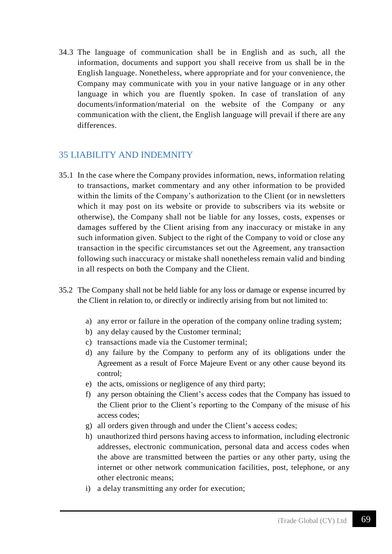34.3 The language of communication shall be in English and as such, all the information, documents and support you shall receive from us shall be in the English language. Nonetheless, where appropriate and for your convenience, the Company may communicate with you in your native language or in any other language in which you are fluently spoken. In case of translation of any documents/information/material on the website of the Company or any communication with the client, the English language will prevail if there are any differences.

# 35 LIABILITY AND INDEMNITY

- 35.1 In the case where the Company provides information, news, information relating to transactions, market commentary and any other information to be provided within the limits of the Company's authorization to the Client (or in newsletters which it may post on its website or provide to subscribers via its website or otherwise), the Company shall not be liable for any losses, costs, expenses or damages suffered by the Client arising from any inaccuracy or mistake in any such information given. Subject to the right of the Company to void or close any transaction in the specific circumstances set out the Agreement, any transaction following such inaccuracy or mistake shall nonetheless remain valid and binding in all respects on both the Company and the Client.
- 35.2 The Company shall not be held liable for any loss or damage or expense incurred by the Client in relation to, or directly or indirectly arising from but not limited to:
	- a) any error or failure in the operation of the company online trading system;
	- b) any delay caused by the Customer terminal;
	- c) transactions made via the Customer terminal;
	- d) any failure by the Company to perform any of its obligations under the Agreement as a result of Force Majeure Event or any other cause beyond its control;
	- e) the acts, omissions or negligence of any third party;
	- f) any person obtaining the Client's access codes that the Company has issued to the Client prior to the Client's reporting to the Company of the misuse of his access codes;
	- g) all orders given through and under the Client's access codes;
	- h) unauthorized third persons having access to information, including electronic addresses, electronic communication, personal data and access codes when the above are transmitted between the parties or any other party, using the internet or other network communication facilities, post, telephone, or any other electronic means;
	- i) a delay transmitting any order for execution;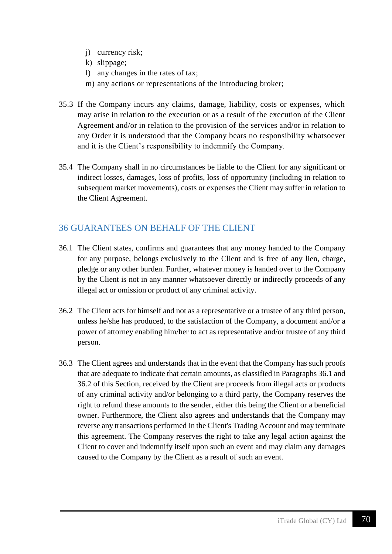- j) currency risk;
- k) slippage;
- l) any changes in the rates of tax;
- m) any actions or representations of the introducing broker;
- 35.3 If the Company incurs any claims, damage, liability, costs or expenses, which may arise in relation to the execution or as a result of the execution of the Client Agreement and/or in relation to the provision of the services and/or in relation to any Order it is understood that the Company bears no responsibility whatsoever and it is the Client's responsibility to indemnify the Company.
- 35.4 The Company shall in no circumstances be liable to the Client for any significant or indirect losses, damages, loss of profits, loss of opportunity (including in relation to subsequent market movements), costs or expenses the Client may suffer in relation to the Client Agreement.

# 36 GUARANTEES ON BEHALF OF THE CLIENT

- 36.1 The Client states, confirms and guarantees that any money handed to the Company for any purpose, belongs exclusively to the Client and is free of any lien, charge, pledge or any other burden. Further, whatever money is handed over to the Company by the Client is not in any manner whatsoever directly or indirectly proceeds of any illegal act or omission or product of any criminal activity.
- 36.2 The Client acts for himself and not as a representative or a trustee of any third person, unless he/she has produced, to the satisfaction of the Company, a document and/or a power of attorney enabling him/her to act as representative and/or trustee of any third person.
- 36.3 The Client agrees and understands that in the event that the Company has such proofs that are adequate to indicate that certain amounts, as classified in Paragraphs 36.1 and 36.2 of this Section, received by the Client are proceeds from illegal acts or products of any criminal activity and/or belonging to a third party, the Company reserves the right to refund these amounts to the sender, either this being the Client or a beneficial owner. Furthermore, the Client also agrees and understands that the Company may reverse any transactions performed in the Client's Trading Account and may terminate this agreement. The Company reserves the right to take any legal action against the Client to cover and indemnify itself upon such an event and may claim any damages caused to the Company by the Client as a result of such an event.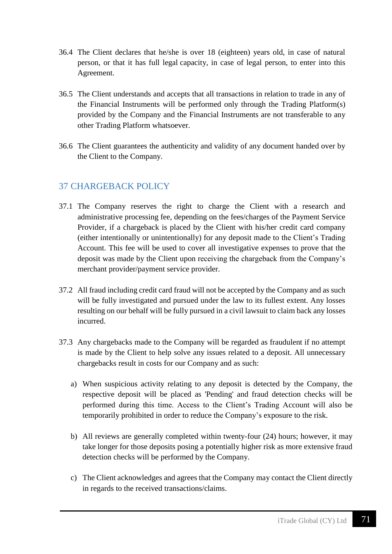- 36.4 The Client declares that he/she is over 18 (eighteen) years old, in case of natural person, or that it has full legal capacity, in case of legal person, to enter into this Agreement.
- 36.5 The Client understands and accepts that all transactions in relation to trade in any of the Financial Instruments will be performed only through the Trading Platform(s) provided by the Company and the Financial Instruments are not transferable to any other Trading Platform whatsoever.
- 36.6 The Client guarantees the authenticity and validity of any document handed over by the Client to the Company.

# 37 CHARGEBACK POLICY

- 37.1 The Company reserves the right to charge the Client with a research and administrative processing fee, depending on the fees/charges of the Payment Service Provider, if a chargeback is placed by the Client with his/her credit card company (either intentionally or unintentionally) for any deposit made to the Client's Trading Account. This fee will be used to cover all investigative expenses to prove that the deposit was made by the Client upon receiving the chargeback from the Company's merchant provider/payment service provider.
- 37.2 All fraud including credit card fraud will not be accepted by the Company and as such will be fully investigated and pursued under the law to its fullest extent. Any losses resulting on our behalf will be fully pursued in a civil lawsuit to claim back any losses incurred.
- 37.3 Any chargebacks made to the Company will be regarded as fraudulent if no attempt is made by the Client to help solve any issues related to a deposit. All unnecessary chargebacks result in costs for our Company and as such:
	- a) When suspicious activity relating to any deposit is detected by the Company, the respective deposit will be placed as 'Pending' and fraud detection checks will be performed during this time. Access to the Client's Trading Account will also be temporarily prohibited in order to reduce the Company's exposure to the risk.
	- b) All reviews are generally completed within twenty-four (24) hours; however, it may take longer for those deposits posing a potentially higher risk as more extensive fraud detection checks will be performed by the Company.
	- c) The Client acknowledges and agrees that the Company may contact the Client directly in regards to the received transactions/claims.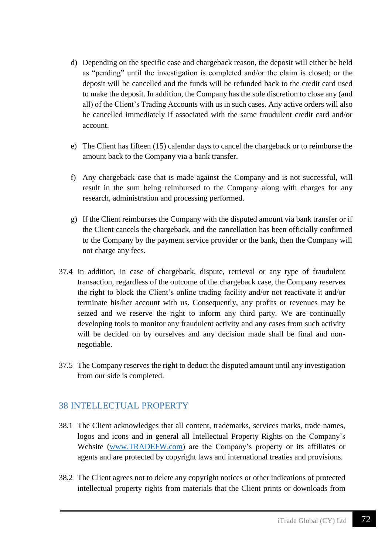- d) Depending on the specific case and chargeback reason, the deposit will either be held as "pending" until the investigation is completed and/or the claim is closed; or the deposit will be cancelled and the funds will be refunded back to the credit card used to make the deposit. In addition, the Company has the sole discretion to close any (and all) of the Client's Trading Accounts with us in such cases. Any active orders will also be cancelled immediately if associated with the same fraudulent credit card and/or account.
- e) The Client has fifteen (15) calendar days to cancel the chargeback or to reimburse the amount back to the Company via a bank transfer.
- f) Any chargeback case that is made against the Company and is not successful, will result in the sum being reimbursed to the Company along with charges for any research, administration and processing performed.
- g) If the Client reimburses the Company with the disputed amount via bank transfer or if the Client cancels the chargeback, and the cancellation has been officially confirmed to the Company by the payment service provider or the bank, then the Company will not charge any fees.
- 37.4 In addition, in case of chargeback, dispute, retrieval or any type of fraudulent transaction, regardless of the outcome of the chargeback case, the Company reserves the right to block the Client's online trading facility and/or not reactivate it and/or terminate his/her account with us. Consequently, any profits or revenues may be seized and we reserve the right to inform any third party. We are continually developing tools to monitor any fraudulent activity and any cases from such activity will be decided on by ourselves and any decision made shall be final and nonnegotiable.
- 37.5 The Company reserves the right to deduct the disputed amount until any investigation from our side is completed.

# 38 INTELLECTUAL PROPERTY

- 38.1 The Client acknowledges that all content, trademarks, services marks, trade names, logos and icons and in general all Intellectual Property Rights on the Company's Website [\(www.TRADEFW.com\)](http://www.tradefw.com/) are the Company's property or its affiliates or agents and are protected by copyright laws and international treaties and provisions.
- 38.2 The Client agrees not to delete any copyright notices or other indications of protected intellectual property rights from materials that the Client prints or downloads from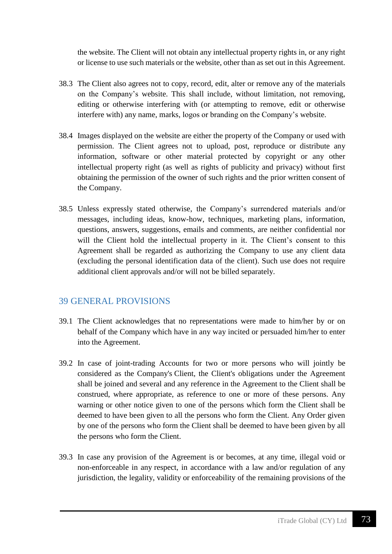the website. The Client will not obtain any intellectual property rights in, or any right or license to use such materials or the website, other than as set out in this Agreement.

- 38.3 The Client also agrees not to copy, record, edit, alter or remove any of the materials on the Company's website. This shall include, without limitation, not removing, editing or otherwise interfering with (or attempting to remove, edit or otherwise interfere with) any name, marks, logos or branding on the Company's website.
- 38.4 Images displayed on the website are either the property of the Company or used with permission. The Client agrees not to upload, post, reproduce or distribute any information, software or other material protected by copyright or any other intellectual property right (as well as rights of publicity and privacy) without first obtaining the permission of the owner of such rights and the prior written consent of the Company.
- 38.5 Unless expressly stated otherwise, the Company's surrendered materials and/or messages, including ideas, know-how, techniques, marketing plans, information, questions, answers, suggestions, emails and comments, are neither confidential nor will the Client hold the intellectual property in it. The Client's consent to this Agreement shall be regarded as authorizing the Company to use any client data (excluding the personal identification data of the client). Such use does not require additional client approvals and/or will not be billed separately.

# 39 GENERAL PROVISIONS

- 39.1 The Client acknowledges that no representations were made to him/her by or on behalf of the Company which have in any way incited or persuaded him/her to enter into the Agreement.
- 39.2 In case of joint-trading Accounts for two or more persons who will jointly be considered as the Company's Client, the Client's obligations under the Agreement shall be joined and several and any reference in the Agreement to the Client shall be construed, where appropriate, as reference to one or more of these persons. Any warning or other notice given to one of the persons which form the Client shall be deemed to have been given to all the persons who form the Client. Any Order given by one of the persons who form the Client shall be deemed to have been given by all the persons who form the Client.
- 39.3 In case any provision of the Agreement is or becomes, at any time, illegal void or non-enforceable in any respect, in accordance with a law and/or regulation of any jurisdiction, the legality, validity or enforceability of the remaining provisions of the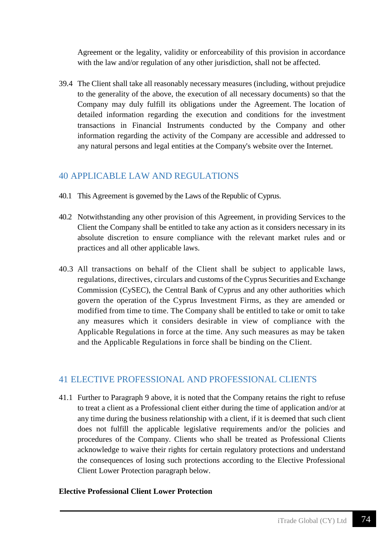Agreement or the legality, validity or enforceability of this provision in accordance with the law and/or regulation of any other jurisdiction, shall not be affected.

39.4 The Client shall take all reasonably necessary measures (including, without prejudice to the generality of the above, the execution of all necessary documents) so that the Company may duly fulfill its obligations under the Agreement. The location of detailed information regarding the execution and conditions for the investment transactions in Financial Instruments conducted by the Company and other information regarding the activity of the Company are accessible and addressed to any natural persons and legal entities at the Company's website over the Internet.

# 40 APPLICABLE LAW AND REGULATIONS

- 40.1 This Agreement is governed by the Laws of the Republic of Cyprus.
- 40.2 Notwithstanding any other provision of this Agreement, in providing Services to the Client the Company shall be entitled to take any action as it considers necessary in its absolute discretion to ensure compliance with the relevant market rules and or practices and all other applicable laws.
- 40.3 All transactions on behalf of the Client shall be subject to applicable laws, regulations, directives, circulars and customs of the Cyprus Securities and Exchange Commission (CySEC), the Central Bank of Cyprus and any other authorities which govern the operation of the Cyprus Investment Firms, as they are amended or modified from time to time. The Company shall be entitled to take or omit to take any measures which it considers desirable in view of compliance with the Applicable Regulations in force at the time. Any such measures as may be taken and the Applicable Regulations in force shall be binding on the Client.

# 41 ELECTIVE PROFESSIONAL AND PROFESSIONAL CLIENTS

41.1 Further to Paragraph 9 above, it is noted that the Company retains the right to refuse to treat a client as a Professional client either during the time of application and/or at any time during the business relationship with a client, if it is deemed that such client does not fulfill the applicable legislative requirements and/or the policies and procedures of the Company. Clients who shall be treated as Professional Clients acknowledge to waive their rights for certain regulatory protections and understand the consequences of losing such protections according to the Elective Professional Client Lower Protection paragraph below.

## **Elective Professional Client Lower Protection**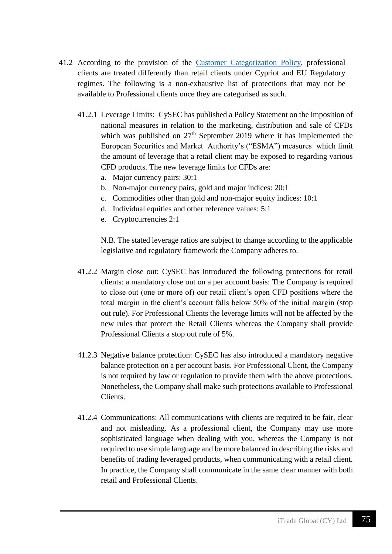- 41.2 According to the provision of the [Customer Categorization](https://www.tradefw.com/wp-content/uploads/iTrade_Global_Customer_Categorization.pdf) Policy, professional clients are treated differently than retail clients under Cypriot and EU Regulatory regimes. The following is a non-exhaustive list of protections that may not be available to Professional clients once they are categorised as such.
	- 41.2.1 Leverage Limits: CySEC has published a Policy Statement on the imposition of national measures in relation to the marketing, distribution and sale of CFDs which was published on  $27<sup>th</sup>$  September 2019 where it has implemented the European Securities and Market Authority's ("ESMA") measures which limit the amount of leverage that a retail client may be exposed to regarding various CFD products. The new leverage limits for CFDs are:
		- a. Major currency pairs: 30:1
		- b. Non-major currency pairs, gold and major indices: 20:1
		- c. Commodities other than gold and non-major equity indices: 10:1
		- d. Individual equities and other reference values: 5:1
		- e. Cryptocurrencies 2:1

N.B. The stated leverage ratios are subject to change according to the applicable legislative and regulatory framework the Company adheres to.

- 41.2.2 Margin close out: CySEC has introduced the following protections for retail clients: a mandatory close out on a per account basis: The Company is required to close out (one or more of) our retail client's open CFD positions where the total margin in the client's account falls below 50% of the initial margin (stop out rule). For Professional Clients the leverage limits will not be affected by the new rules that protect the Retail Clients whereas the Company shall provide Professional Clients a stop out rule of 5%.
- 41.2.3 Negative balance protection: CySEC has also introduced a mandatory negative balance protection on a per account basis. For Professional Client, the Company is not required by law or regulation to provide them with the above protections. Nonetheless, the Company shall make such protections available to Professional Clients.
- 41.2.4 Communications: All communications with clients are required to be fair, clear and not misleading. As a professional client, the Company may use more sophisticated language when dealing with you, whereas the Company is not required to use simple language and be more balanced in describing the risks and benefits of trading leveraged products, when communicating with a retail client. In practice, the Company shall communicate in the same clear manner with both retail and Professional Clients.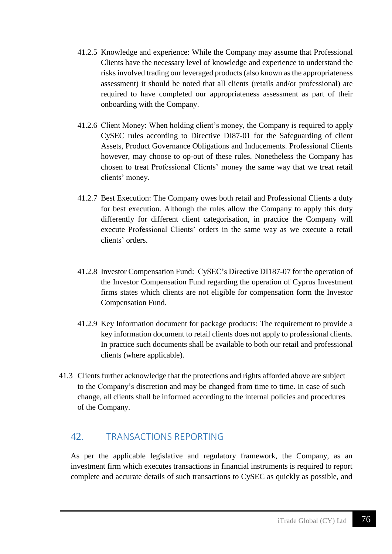- 41.2.5 Knowledge and experience: While the Company may assume that Professional Clients have the necessary level of knowledge and experience to understand the risks involved trading our leveraged products (also known as the appropriateness assessment) it should be noted that all clients (retails and/or professional) are required to have completed our appropriateness assessment as part of their onboarding with the Company.
- 41.2.6 Client Money: When holding client's money, the Company is required to apply CySEC rules according to Directive DI87-01 for the Safeguarding of client Assets, Product Governance Obligations and Inducements. Professional Clients however, may choose to op-out of these rules. Nonetheless the Company has chosen to treat Professional Clients' money the same way that we treat retail clients' money.
- 41.2.7 Best Execution: The Company owes both retail and Professional Clients a duty for best execution. Although the rules allow the Company to apply this duty differently for different client categorisation, in practice the Company will execute Professional Clients' orders in the same way as we execute a retail clients' orders.
- 41.2.8 Investor Compensation Fund: CySEC's Directive DI187-07 for the operation of the Investor Compensation Fund regarding the operation of Cyprus Investment firms states which clients are not eligible for compensation form the Investor Compensation Fund.
- 41.2.9 Key Information document for package products: The requirement to provide a key information document to retail clients does not apply to professional clients. In practice such documents shall be available to both our retail and professional clients (where applicable).
- 41.3 Clients further acknowledge that the protections and rights afforded above are subject to the Company's discretion and may be changed from time to time. In case of such change, all clients shall be informed according to the internal policies and procedures of the Company.

# 42. TRANSACTIONS REPORTING

As per the applicable legislative and regulatory framework, the Company, as an investment firm which executes transactions in financial instruments is required to report complete and accurate details of such transactions to CySEC as quickly as possible, and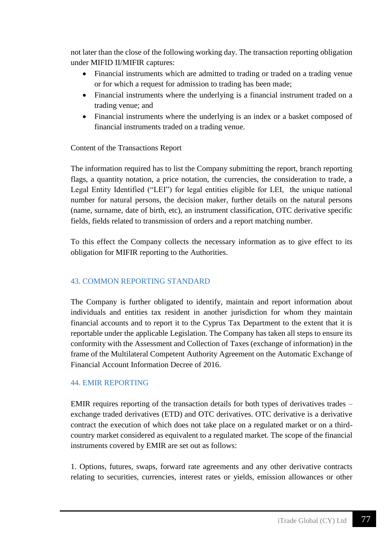not later than the close of the following working day. The transaction reporting obligation under MIFID II/MIFIR captures:

- Financial instruments which are admitted to trading or traded on a trading venue or for which a request for admission to trading has been made;
- Financial instruments where the underlying is a financial instrument traded on a trading venue; and
- Financial instruments where the underlying is an index or a basket composed of financial instruments traded on a trading venue.

## Content of the Transactions Report

The information required has to list the Company submitting the report, branch reporting flags, a quantity notation, a price notation, the currencies, the consideration to trade, a Legal Entity Identified ("LEI") for legal entities eligible for LEI, the unique national number for natural persons, the decision maker, further details on the natural persons (name, surname, date of birth, etc), an instrument classification, OTC derivative specific fields, fields related to transmission of orders and a report matching number.

To this effect the Company collects the necessary information as to give effect to its obligation for MIFIR reporting to the Authorities.

## 43. COMMON REPORTING STANDARD

The Company is further obligated to identify, maintain and report information about individuals and entities tax resident in another jurisdiction for whom they maintain financial accounts and to report it to the Cyprus Tax Department to the extent that it is reportable under the applicable Legislation. The Company has taken all steps to ensure its conformity with the Assessment and Collection of Taxes (exchange of information) in the frame of the Multilateral Competent Authority Agreement on the Automatic Exchange of Financial Account Information Decree of 2016.

## 44. EMIR REPORTING

EMIR requires reporting of the transaction details for both types of derivatives trades – exchange traded derivatives (ETD) and OTC derivatives. OTC derivative is a derivative contract the execution of which does not take place on a regulated market or on a thirdcountry market considered as equivalent to a regulated market. The scope of the financial instruments covered by EMIR are set out as follows:

1. Options, futures, swaps, forward rate agreements and any other derivative contracts relating to securities, currencies, interest rates or yields, emission allowances or other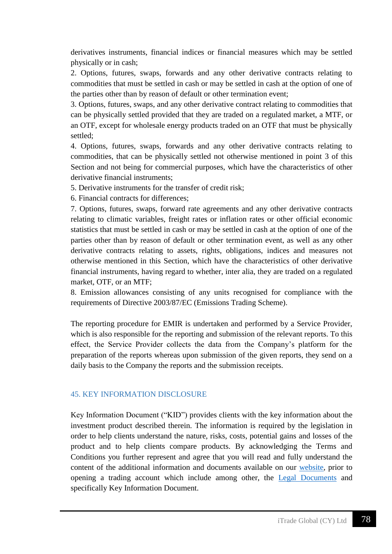derivatives instruments, financial indices or financial measures which may be settled physically or in cash;

2. Options, futures, swaps, forwards and any other derivative contracts relating to commodities that must be settled in cash or may be settled in cash at the option of one of the parties other than by reason of default or other termination event;

3. Options, futures, swaps, and any other derivative contract relating to commodities that can be physically settled provided that they are traded on a regulated market, a MTF, or an OTF, except for wholesale energy products traded on an OTF that must be physically settled;

4. Options, futures, swaps, forwards and any other derivative contracts relating to commodities, that can be physically settled not otherwise mentioned in point 3 of this Section and not being for commercial purposes, which have the characteristics of other derivative financial instruments;

5. Derivative instruments for the transfer of credit risk;

6. Financial contracts for differences;

7. Options, futures, swaps, forward rate agreements and any other derivative contracts relating to climatic variables, freight rates or inflation rates or other official economic statistics that must be settled in cash or may be settled in cash at the option of one of the parties other than by reason of default or other termination event, as well as any other derivative contracts relating to assets, rights, obligations, indices and measures not otherwise mentioned in this Section, which have the characteristics of other derivative financial instruments, having regard to whether, inter alia, they are traded on a regulated market, OTF, or an MTF;

8. Emission allowances consisting of any units recognised for compliance with the requirements of Directive 2003/87/EC (Emissions Trading Scheme).

The reporting procedure for EMIR is undertaken and performed by a Service Provider, which is also responsible for the reporting and submission of the relevant reports. To this effect, the Service Provider collects the data from the Company's platform for the preparation of the reports whereas upon submission of the given reports, they send on a daily basis to the Company the reports and the submission receipts.

#### **45. KEY INFORMATION DISCLOSURE**

Key Information Document ("KID") provides clients with the key information about the investment product described therein. The information is required by the legislation in order to help clients understand the nature, risks, costs, potential gains and losses of the product and to help clients compare products. By acknowledging the Terms and Conditions you further represent and agree that you will read and fully understand the content of the additional information and documents available on our [website,](https://www.tradefw.com/legal/) prior to opening a trading account which include among other, the [Legal Documents](https://www.tradefw.com/legal/) and specifically Key Information Document.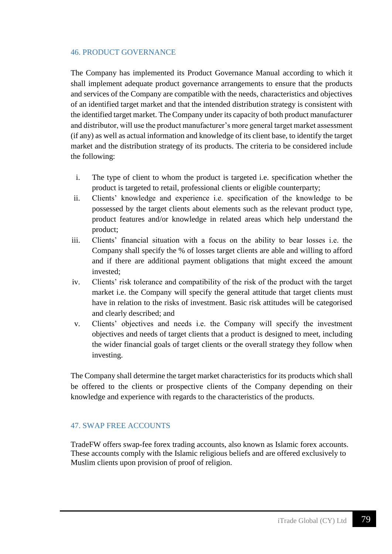#### 46. PRODUCT GOVERNANCE

The Company has implemented its Product Governance Manual according to which it shall implement adequate product governance arrangements to ensure that the products and services of the Company are compatible with the needs, characteristics and objectives of an identified target market and that the intended distribution strategy is consistent with the identified target market. The Company under its capacity of both product manufacturer and distributor, will use the product manufacturer's more general target market assessment (if any) as well as actual information and knowledge of its client base, to identify the target market and the distribution strategy of its products. The criteria to be considered include the following:

- i. The type of client to whom the product is targeted i.e. specification whether the product is targeted to retail, professional clients or eligible counterparty;
- ii. Clients' knowledge and experience i.e. specification of the knowledge to be possessed by the target clients about elements such as the relevant product type, product features and/or knowledge in related areas which help understand the product;
- iii. Clients' financial situation with a focus on the ability to bear losses i.e. the Company shall specify the % of losses target clients are able and willing to afford and if there are additional payment obligations that might exceed the amount invested;
- iv. Clients' risk tolerance and compatibility of the risk of the product with the target market i.e. the Company will specify the general attitude that target clients must have in relation to the risks of investment. Basic risk attitudes will be categorised and clearly described; and
- v. Clients' objectives and needs i.e. the Company will specify the investment objectives and needs of target clients that a product is designed to meet, including the wider financial goals of target clients or the overall strategy they follow when investing.

The Company shall determine the target market characteristics for its products which shall be offered to the clients or prospective clients of the Company depending on their knowledge and experience with regards to the characteristics of the products.

## 47. SWAP FREE ACCOUNTS

TradeFW offers swap-fee forex trading accounts, also known as Islamic forex accounts. These accounts comply with the Islamic religious beliefs and are offered exclusively to Muslim clients upon provision of proof of religion.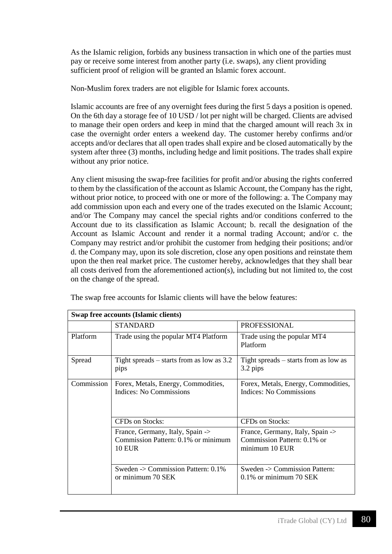As the Islamic religion, forbids any business transaction in which one of the parties must pay or receive some interest from another party (i.e. swaps), any client providing sufficient proof of religion will be granted an Islamic forex account.

Non-Muslim forex traders are not eligible for Islamic forex accounts.

Islamic accounts are free of any overnight fees during the first 5 days a position is opened. On the 6th day a storage fee of 10 USD / lot per night will be charged. Clients are advised to manage their open orders and keep in mind that the charged amount will reach 3x in case the overnight order enters a weekend day. The customer hereby confirms and/or accepts and/or declares that all open trades shall expire and be closed automatically by the system after three (3) months, including hedge and limit positions. The trades shall expire without any prior notice.

Any client misusing the swap-free facilities for profit and/or abusing the rights conferred to them by the classification of the account as Islamic Account, the Company has the right, without prior notice, to proceed with one or more of the following: a. The Company may add commission upon each and every one of the trades executed on the Islamic Account; and/or The Company may cancel the special rights and/or conditions conferred to the Account due to its classification as Islamic Account; b. recall the designation of the Account as Islamic Account and render it a normal trading Account; and/or c. the Company may restrict and/or prohibit the customer from hedging their positions; and/or d. the Company may, upon its sole discretion, close any open positions and reinstate them upon the then real market price. The customer hereby, acknowledges that they shall bear all costs derived from the aforementioned action(s), including but not limited to, the cost on the change of the spread.

| Swap free accounts (Islamic clients) |                                                                                          |                                                                                   |  |
|--------------------------------------|------------------------------------------------------------------------------------------|-----------------------------------------------------------------------------------|--|
|                                      | <b>STANDARD</b>                                                                          | <b>PROFESSIONAL</b>                                                               |  |
| <b>Platform</b>                      | Trade using the popular MT4 Platform                                                     | Trade using the popular MT4<br>Platform                                           |  |
| Spread                               | Tight spreads $-$ starts from as low as 3.2<br>pips                                      | Tight spreads $-$ starts from as low as<br>3.2 pips                               |  |
| Commission                           | Forex, Metals, Energy, Commodities,<br>Indices: No Commissions                           | Forex, Metals, Energy, Commodities,<br>Indices: No Commissions                    |  |
|                                      | CFDs on Stocks:                                                                          | CFDs on Stocks:                                                                   |  |
|                                      | France, Germany, Italy, Spain -><br>Commission Pattern: 0.1% or minimum<br><b>10 EUR</b> | France, Germany, Italy, Spain -><br>Commission Pattern: 0.1% or<br>minimum 10 EUR |  |
|                                      | Sweden $\sim$ Commission Pattern: 0.1%<br>or minimum 70 SEK                              | Sweden -> Commission Pattern:<br>$0.1\%$ or minimum 70 SEK                        |  |

The swap free accounts for Islamic clients will have the below features: